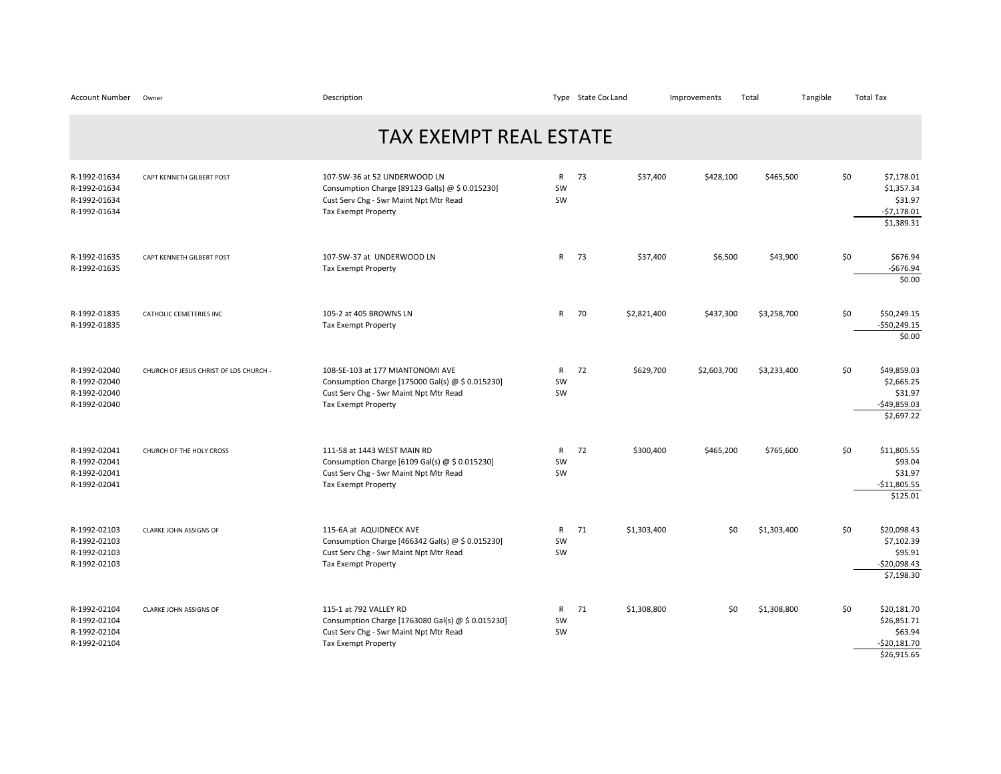| <b>Account Number</b>                                        | Owner                                  | Description                                                                                                                                                  |                          | Type State Cor Land |             | Improvements | Total       | Tangible | <b>Total Tax</b> |                                                                       |
|--------------------------------------------------------------|----------------------------------------|--------------------------------------------------------------------------------------------------------------------------------------------------------------|--------------------------|---------------------|-------------|--------------|-------------|----------|------------------|-----------------------------------------------------------------------|
|                                                              |                                        | <b>TAX EXEMPT REAL ESTATE</b>                                                                                                                                |                          |                     |             |              |             |          |                  |                                                                       |
| R-1992-01634<br>R-1992-01634<br>R-1992-01634<br>R-1992-01634 | CAPT KENNETH GILBERT POST              | 107-SW-36 at 52 UNDERWOOD LN<br>Consumption Charge [89123 Gal(s) @ \$ 0.015230]<br>Cust Serv Chg - Swr Maint Npt Mtr Read<br><b>Tax Exempt Property</b>      | $\mathsf{R}$<br>SW<br>SW | 73                  | \$37,400    | \$428,100    | \$465,500   |          | \$0              | \$7,178.01<br>\$1,357.34<br>\$31.97<br>$-57,178.01$<br>\$1,389.31     |
| R-1992-01635<br>R-1992-01635                                 | CAPT KENNETH GILBERT POST              | 107-SW-37 at UNDERWOOD LN<br><b>Tax Exempt Property</b>                                                                                                      | R                        | 73                  | \$37,400    | \$6,500      | \$43,900    |          | \$0              | \$676.94<br>$-$676.94$<br>\$0.00                                      |
| R-1992-01835<br>R-1992-01835                                 | CATHOLIC CEMETERIES INC                | 105-2 at 405 BROWNS LN<br><b>Tax Exempt Property</b>                                                                                                         | $\mathsf{R}$             | 70                  | \$2,821,400 | \$437,300    | \$3,258,700 |          | \$0              | \$50,249.15<br>$-$50,249.15$<br>\$0.00                                |
| R-1992-02040<br>R-1992-02040<br>R-1992-02040<br>R-1992-02040 | CHURCH OF JESUS CHRIST OF LDS CHURCH - | 108-SE-103 at 177 MIANTONOMI AVE<br>Consumption Charge [175000 Gal(s) @ \$ 0.015230]<br>Cust Serv Chg - Swr Maint Npt Mtr Read<br><b>Tax Exempt Property</b> | $\mathsf{R}$<br>SW<br>SW | 72                  | \$629,700   | \$2,603,700  | \$3,233,400 |          | \$0              | \$49,859.03<br>\$2,665.25<br>\$31.97<br>$-$49,859.03$<br>\$2,697.22   |
| R-1992-02041<br>R-1992-02041<br>R-1992-02041<br>R-1992-02041 | CHURCH OF THE HOLY CROSS               | 111-58 at 1443 WEST MAIN RD<br>Consumption Charge [6109 Gal(s) $\omega$ \$ 0.015230]<br>Cust Serv Chg - Swr Maint Npt Mtr Read<br><b>Tax Exempt Property</b> | $\mathsf{R}$<br>SW<br>SW | 72                  | \$300,400   | \$465,200    | \$765,600   |          | \$0              | \$11,805.55<br>\$93.04<br>\$31.97<br>$-$11,805.55$<br>\$125.01        |
| R-1992-02103<br>R-1992-02103<br>R-1992-02103<br>R-1992-02103 | <b>CLARKE JOHN ASSIGNS OF</b>          | 115-6A at AQUIDNECK AVE<br>Consumption Charge [466342 Gal(s) @ \$ 0.015230]<br>Cust Serv Chg - Swr Maint Npt Mtr Read<br><b>Tax Exempt Property</b>          | $\mathsf{R}$<br>SW<br>SW | 71                  | \$1,303,400 | \$0          | \$1,303,400 |          | \$0              | \$20.098.43<br>\$7,102.39<br>\$95.91<br>$-$20,098.43$<br>\$7,198.30   |
| R-1992-02104<br>R-1992-02104<br>R-1992-02104<br>R-1992-02104 | CLARKE JOHN ASSIGNS OF                 | 115-1 at 792 VALLEY RD<br>Consumption Charge [1763080 Gal(s) @ \$ 0.015230]<br>Cust Serv Chg - Swr Maint Npt Mtr Read<br><b>Tax Exempt Property</b>          | $\mathsf{R}$<br>SW<br>SW | 71                  | \$1,308,800 | \$0          | \$1,308,800 |          | \$0              | \$20,181.70<br>\$26,851.71<br>\$63.94<br>$-520,181.70$<br>\$26,915.65 |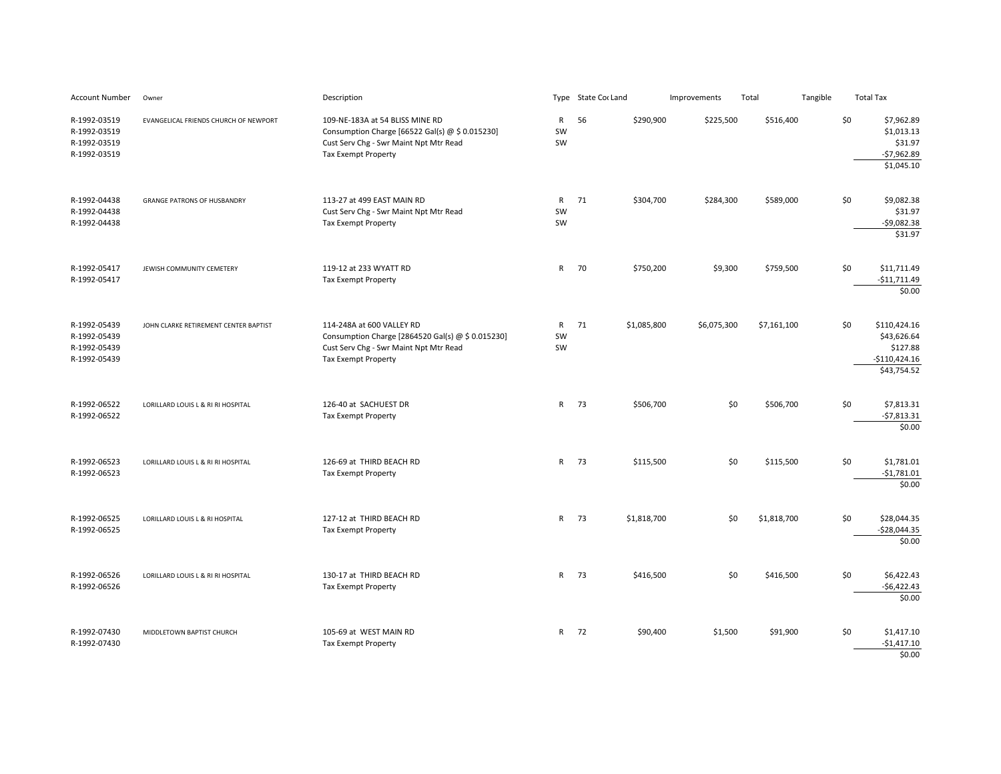| Account Number                                               | Owner                                 | Description                                                                                                                                                |                          | Type State Cor Land | Improvements | Total       | Tangible |     | <b>Total Tax</b>                                                         |
|--------------------------------------------------------------|---------------------------------------|------------------------------------------------------------------------------------------------------------------------------------------------------------|--------------------------|---------------------|--------------|-------------|----------|-----|--------------------------------------------------------------------------|
| R-1992-03519<br>R-1992-03519<br>R-1992-03519<br>R-1992-03519 | EVANGELICAL FRIENDS CHURCH OF NEWPORT | 109-NE-183A at 54 BLISS MINE RD<br>Consumption Charge [66522 Gal(s) @ \$ 0.015230]<br>Cust Serv Chg - Swr Maint Npt Mtr Read<br><b>Tax Exempt Property</b> | $\mathsf{R}$<br>SW<br>SW | 56<br>\$290,900     | \$225,500    | \$516,400   |          | \$0 | \$7,962.89<br>\$1,013.13<br>\$31.97<br>$-$7,962.89$<br>\$1,045.10        |
| R-1992-04438<br>R-1992-04438<br>R-1992-04438                 | <b>GRANGE PATRONS OF HUSBANDRY</b>    | 113-27 at 499 EAST MAIN RD<br>Cust Serv Chg - Swr Maint Npt Mtr Read<br><b>Tax Exempt Property</b>                                                         | R<br>SW<br>SW            | 71<br>\$304,700     | \$284,300    | \$589,000   |          | \$0 | \$9,082.38<br>\$31.97<br>$-$9,082.38$<br>\$31.97                         |
| R-1992-05417<br>R-1992-05417                                 | JEWISH COMMUNITY CEMETERY             | 119-12 at 233 WYATT RD<br>Tax Exempt Property                                                                                                              | $\mathsf{R}$             | 70<br>\$750,200     | \$9,300      | \$759,500   |          | \$0 | \$11,711.49<br>$-$11,711.49$<br>\$0.00                                   |
| R-1992-05439<br>R-1992-05439<br>R-1992-05439<br>R-1992-05439 | JOHN CLARKE RETIREMENT CENTER BAPTIST | 114-248A at 600 VALLEY RD<br>Consumption Charge [2864520 Gal(s) @ \$ 0.015230]<br>Cust Serv Chg - Swr Maint Npt Mtr Read<br><b>Tax Exempt Property</b>     | $\mathsf{R}$<br>SW<br>SW | 71<br>\$1,085,800   | \$6,075,300  | \$7,161,100 |          | \$0 | \$110,424.16<br>\$43,626.64<br>\$127.88<br>$-$110,424.16$<br>\$43,754.52 |
| R-1992-06522<br>R-1992-06522                                 | LORILLARD LOUIS L & RI RI HOSPITAL    | 126-40 at SACHUEST DR<br><b>Tax Exempt Property</b>                                                                                                        | $\mathsf{R}$             | - 73<br>\$506,700   | \$0          | \$506,700   |          | \$0 | \$7,813.31<br>$-57,813.31$<br>\$0.00                                     |
| R-1992-06523<br>R-1992-06523                                 | LORILLARD LOUIS L & RI RI HOSPITAL    | 126-69 at THIRD BEACH RD<br>Tax Exempt Property                                                                                                            | $\mathsf{R}$             | 73<br>\$115,500     | \$0          | \$115,500   |          | \$0 | \$1,781.01<br>$-$1,781.01$<br>\$0.00                                     |
| R-1992-06525<br>R-1992-06525                                 | LORILLARD LOUIS L & RI HOSPITAL       | 127-12 at THIRD BEACH RD<br>Tax Exempt Property                                                                                                            | $\mathsf{R}$             | 73<br>\$1,818,700   | \$0          | \$1,818,700 |          | \$0 | \$28,044.35<br>$-$28,044.35$<br>\$0.00                                   |
| R-1992-06526<br>R-1992-06526                                 | LORILLARD LOUIS L & RI RI HOSPITAL    | 130-17 at THIRD BEACH RD<br>Tax Exempt Property                                                                                                            | $\mathsf{R}$             | 73<br>\$416,500     | \$0          | \$416,500   |          | \$0 | \$6,422.43<br>$-$6,422.43$<br>\$0.00                                     |
| R-1992-07430<br>R-1992-07430                                 | MIDDLETOWN BAPTIST CHURCH             | 105-69 at WEST MAIN RD<br><b>Tax Exempt Property</b>                                                                                                       | $\mathsf{R}$             | 72<br>\$90,400      | \$1,500      | \$91,900    |          | \$0 | \$1,417.10<br>$-$1,417.10$<br>\$0.00                                     |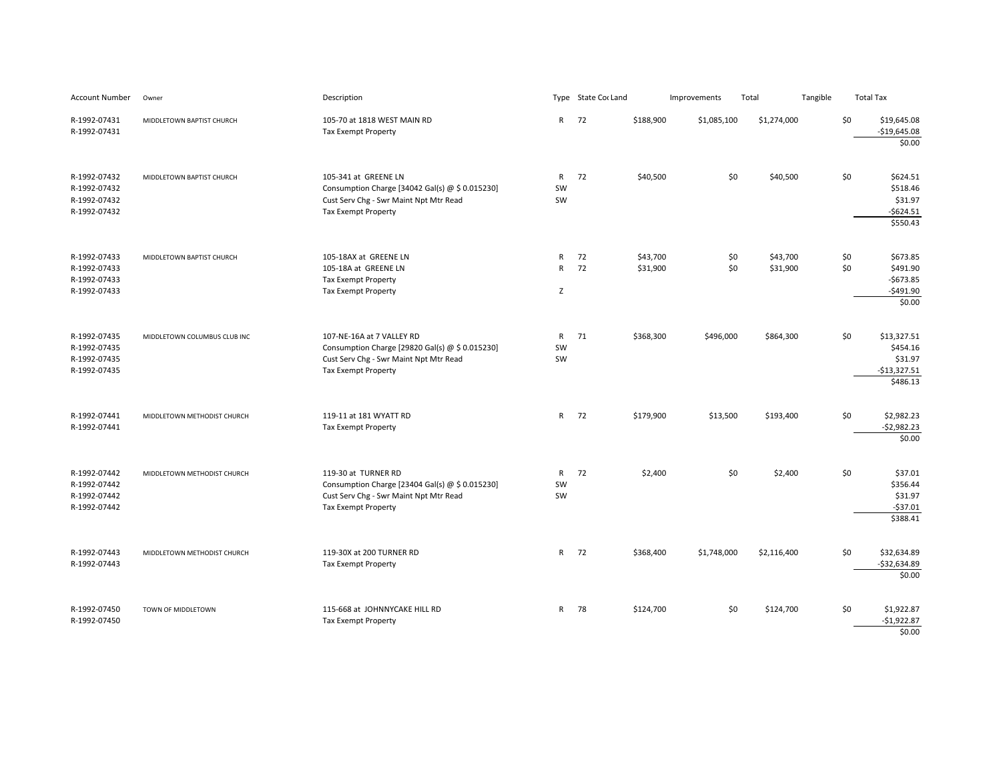| Account Number                                               | Owner                        | Description                                                                                                                                            |                                   | Type State Cor Land |                      | Improvements | Total                | Tangible |            | <b>Total Tax</b>                                                |
|--------------------------------------------------------------|------------------------------|--------------------------------------------------------------------------------------------------------------------------------------------------------|-----------------------------------|---------------------|----------------------|--------------|----------------------|----------|------------|-----------------------------------------------------------------|
| R-1992-07431<br>R-1992-07431                                 | MIDDLETOWN BAPTIST CHURCH    | 105-70 at 1818 WEST MAIN RD<br><b>Tax Exempt Property</b>                                                                                              | $\mathsf{R}$                      | 72                  | \$188,900            | \$1,085,100  | \$1,274,000          |          | \$0        | \$19,645.08<br>$-$19,645.08$<br>\$0.00                          |
| R-1992-07432<br>R-1992-07432<br>R-1992-07432<br>R-1992-07432 | MIDDLETOWN BAPTIST CHURCH    | 105-341 at GREENE LN<br>Consumption Charge [34042 Gal(s) $\omega$ \$ 0.015230]<br>Cust Serv Chg - Swr Maint Npt Mtr Read<br><b>Tax Exempt Property</b> | $\mathsf{R}$<br>SW<br>SW          | 72                  | \$40,500             | \$0          | \$40,500             |          | \$0        | \$624.51<br>\$518.46<br>\$31.97<br>$-5624.51$<br>\$550.43       |
| R-1992-07433<br>R-1992-07433<br>R-1992-07433<br>R-1992-07433 | MIDDLETOWN BAPTIST CHURCH    | 105-18AX at GREENE LN<br>105-18A at GREENE LN<br><b>Tax Exempt Property</b><br><b>Tax Exempt Property</b>                                              | $\mathsf{R}$<br>$\mathsf{R}$<br>Z | 72<br>72            | \$43,700<br>\$31,900 | \$0<br>\$0   | \$43,700<br>\$31,900 |          | \$0<br>\$0 | \$673.85<br>\$491.90<br>$-$673.85$<br>$-$ \$491.90<br>\$0.00    |
| R-1992-07435<br>R-1992-07435<br>R-1992-07435<br>R-1992-07435 | MIDDLETOWN COLUMBUS CLUB INC | 107-NE-16A at 7 VALLEY RD<br>Consumption Charge [29820 Gal(s) @ \$ 0.015230]<br>Cust Serv Chg - Swr Maint Npt Mtr Read<br>Tax Exempt Property          | $\mathsf{R}$<br>SW<br>SW          | 71                  | \$368,300            | \$496,000    | \$864,300            |          | \$0        | \$13,327.51<br>\$454.16<br>\$31.97<br>$-$13,327.51$<br>\$486.13 |
| R-1992-07441<br>R-1992-07441                                 | MIDDLETOWN METHODIST CHURCH  | 119-11 at 181 WYATT RD<br><b>Tax Exempt Property</b>                                                                                                   | $\mathsf{R}$                      | 72                  | \$179,900            | \$13,500     | \$193,400            |          | \$0        | \$2,982.23<br>$-$2,982.23$<br>\$0.00                            |
| R-1992-07442<br>R-1992-07442<br>R-1992-07442<br>R-1992-07442 | MIDDLETOWN METHODIST CHURCH  | 119-30 at TURNER RD<br>Consumption Charge [23404 Gal(s) @ \$ 0.015230]<br>Cust Serv Chg - Swr Maint Npt Mtr Read<br><b>Tax Exempt Property</b>         | $\mathsf{R}$<br>SW<br>SW          | 72                  | \$2,400              | \$0          | \$2,400              |          | \$0        | \$37.01<br>\$356.44<br>\$31.97<br>$-537.01$<br>\$388.41         |
| R-1992-07443<br>R-1992-07443                                 | MIDDLETOWN METHODIST CHURCH  | 119-30X at 200 TURNER RD<br><b>Tax Exempt Property</b>                                                                                                 | $\mathsf{R}$                      | 72                  | \$368,400            | \$1,748,000  | \$2,116,400          |          | \$0        | \$32,634.89<br>$-532,634.89$<br>\$0.00                          |
| R-1992-07450<br>R-1992-07450                                 | TOWN OF MIDDLETOWN           | 115-668 at JOHNNYCAKE HILL RD<br>Tax Exempt Property                                                                                                   | $\mathsf{R}$                      | 78                  | \$124,700            | \$0          | \$124,700            |          | \$0        | \$1,922.87<br>$-$1,922.87$<br>\$0.00                            |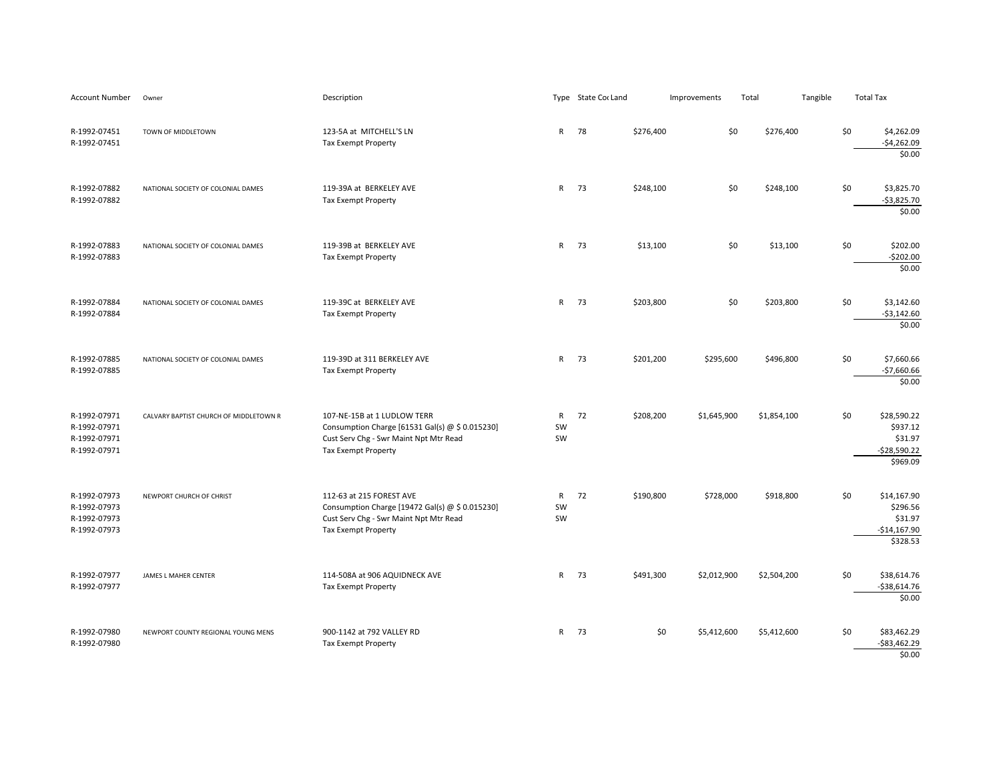| Account Number                                               | Owner                                  | Description                                                                                                                                            |                          | Type State Cor Land |           | Improvements | Total | Tangible    | <b>Total Tax</b>                                                       |
|--------------------------------------------------------------|----------------------------------------|--------------------------------------------------------------------------------------------------------------------------------------------------------|--------------------------|---------------------|-----------|--------------|-------|-------------|------------------------------------------------------------------------|
| R-1992-07451<br>R-1992-07451                                 | TOWN OF MIDDLETOWN                     | 123-5A at MITCHELL'S LN<br>Tax Exempt Property                                                                                                         | $\mathsf{R}$             | 78                  | \$276,400 | \$0          |       | \$276,400   | \$0<br>\$4,262.09<br>$-$4,262.09$<br>\$0.00                            |
| R-1992-07882<br>R-1992-07882                                 | NATIONAL SOCIETY OF COLONIAL DAMES     | 119-39A at BERKELEY AVE<br><b>Tax Exempt Property</b>                                                                                                  | $\mathsf{R}$             | 73                  | \$248,100 | \$0          |       | \$248,100   | \$0<br>\$3,825.70<br>$-$3,825.70$<br>\$0.00                            |
| R-1992-07883<br>R-1992-07883                                 | NATIONAL SOCIETY OF COLONIAL DAMES     | 119-39B at BERKELEY AVE<br><b>Tax Exempt Property</b>                                                                                                  | $\mathsf{R}$             | 73                  | \$13,100  | \$0          |       | \$13,100    | \$0<br>\$202.00<br>$-5202.00$<br>\$0.00                                |
| R-1992-07884<br>R-1992-07884                                 | NATIONAL SOCIETY OF COLONIAL DAMES     | 119-39C at BERKELEY AVE<br><b>Tax Exempt Property</b>                                                                                                  | $\mathsf{R}$             | 73                  | \$203,800 | \$0          |       | \$203,800   | \$0<br>\$3,142.60<br>$-$3,142.60$<br>\$0.00                            |
| R-1992-07885<br>R-1992-07885                                 | NATIONAL SOCIETY OF COLONIAL DAMES     | 119-39D at 311 BERKELEY AVE<br><b>Tax Exempt Property</b>                                                                                              | $\mathsf{R}$             | 73                  | \$201,200 | \$295,600    |       | \$496,800   | \$0<br>\$7,660.66<br>$-$7,660.66$<br>\$0.00                            |
| R-1992-07971<br>R-1992-07971<br>R-1992-07971<br>R-1992-07971 | CALVARY BAPTIST CHURCH OF MIDDLETOWN R | 107-NE-15B at 1 LUDLOW TERR<br>Consumption Charge [61531 Gal(s) @ \$ 0.015230]<br>Cust Serv Chg - Swr Maint Npt Mtr Read<br><b>Tax Exempt Property</b> | $\mathsf{R}$<br>SW<br>SW | 72                  | \$208,200 | \$1,645,900  |       | \$1,854,100 | \$0<br>\$28,590.22<br>\$937.12<br>\$31.97<br>$-528,590.22$<br>\$969.09 |
| R-1992-07973<br>R-1992-07973<br>R-1992-07973<br>R-1992-07973 | NEWPORT CHURCH OF CHRIST               | 112-63 at 215 FOREST AVE<br>Consumption Charge [19472 Gal(s) @ \$ 0.015230]<br>Cust Serv Chg - Swr Maint Npt Mtr Read<br><b>Tax Exempt Property</b>    | $\mathsf{R}$<br>SW<br>SW | 72                  | \$190,800 | \$728,000    |       | \$918,800   | \$0<br>\$14,167.90<br>\$296.56<br>\$31.97<br>$-$14,167.90$<br>\$328.53 |
| R-1992-07977<br>R-1992-07977                                 | JAMES L MAHER CENTER                   | 114-508A at 906 AQUIDNECK AVE<br><b>Tax Exempt Property</b>                                                                                            | $\mathsf{R}$             | 73                  | \$491,300 | \$2,012,900  |       | \$2,504,200 | \$0<br>\$38,614.76<br>$-538,614.76$<br>\$0.00                          |
| R-1992-07980<br>R-1992-07980                                 | NEWPORT COUNTY REGIONAL YOUNG MENS     | 900-1142 at 792 VALLEY RD<br><b>Tax Exempt Property</b>                                                                                                | $\mathsf{R}$             | - 73                | \$0       | \$5,412,600  |       | \$5,412,600 | \$0<br>\$83,462.29<br>$-583,462.29$<br>\$0.00                          |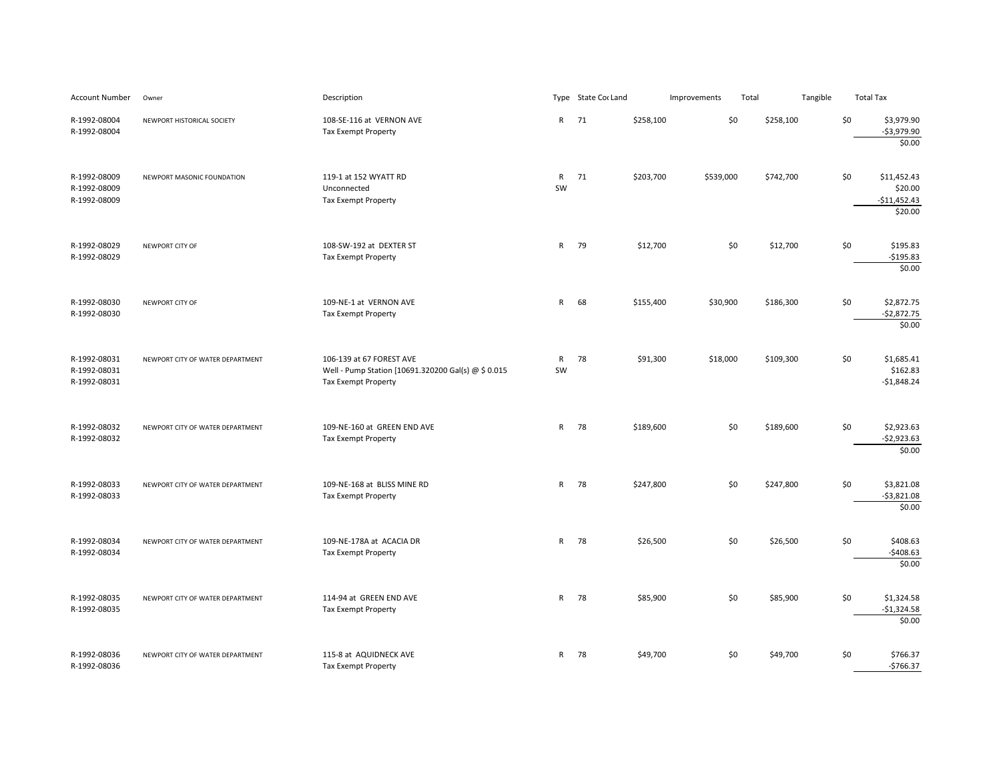| <b>Account Number</b>                        | Owner                            | Description                                                                                                   |                    | Type State Cor Land |           | Improvements | Total |           | Tangible | <b>Total Tax</b> |                                                    |
|----------------------------------------------|----------------------------------|---------------------------------------------------------------------------------------------------------------|--------------------|---------------------|-----------|--------------|-------|-----------|----------|------------------|----------------------------------------------------|
| R-1992-08004<br>R-1992-08004                 | NEWPORT HISTORICAL SOCIETY       | 108-SE-116 at VERNON AVE<br>Tax Exempt Property                                                               |                    | R 71                | \$258,100 | \$0          |       | \$258,100 |          | \$0              | \$3,979.90<br>$-$3,979.90$<br>\$0.00               |
| R-1992-08009<br>R-1992-08009<br>R-1992-08009 | NEWPORT MASONIC FOUNDATION       | 119-1 at 152 WYATT RD<br>Unconnected<br>Tax Exempt Property                                                   | $\mathsf{R}$<br>SW | 71                  | \$203,700 | \$539,000    |       | \$742,700 |          | \$0              | \$11,452.43<br>\$20.00<br>$-$11,452.43$<br>\$20.00 |
| R-1992-08029<br>R-1992-08029                 | NEWPORT CITY OF                  | 108-SW-192 at DEXTER ST<br><b>Tax Exempt Property</b>                                                         | $\mathsf{R}$       | 79                  | \$12,700  | \$0          |       | \$12,700  |          | \$0              | \$195.83<br>$-$195.83$<br>\$0.00                   |
| R-1992-08030<br>R-1992-08030                 | NEWPORT CITY OF                  | 109-NE-1 at VERNON AVE<br>Tax Exempt Property                                                                 | $\mathsf{R}$       | 68                  | \$155,400 | \$30,900     |       | \$186,300 |          | \$0              | \$2,872.75<br>$-$2,872.75$<br>\$0.00               |
| R-1992-08031<br>R-1992-08031<br>R-1992-08031 | NEWPORT CITY OF WATER DEPARTMENT | 106-139 at 67 FOREST AVE<br>Well - Pump Station [10691.320200 Gal(s) @ \$ 0.015<br><b>Tax Exempt Property</b> | $\mathsf{R}$<br>SW | 78                  | \$91,300  | \$18,000     |       | \$109,300 |          | \$0              | \$1,685.41<br>\$162.83<br>$-$1,848.24$             |
| R-1992-08032<br>R-1992-08032                 | NEWPORT CITY OF WATER DEPARTMENT | 109-NE-160 at GREEN END AVE<br><b>Tax Exempt Property</b>                                                     |                    | R 78                | \$189,600 | \$0          |       | \$189,600 |          | \$0              | \$2,923.63<br>$-$2,923.63$<br>\$0.00               |
| R-1992-08033<br>R-1992-08033                 | NEWPORT CITY OF WATER DEPARTMENT | 109-NE-168 at BLISS MINE RD<br>Tax Exempt Property                                                            | $\mathsf{R}$       | 78                  | \$247,800 | \$0          |       | \$247,800 |          | \$0              | \$3,821.08<br>$-53,821.08$<br>\$0.00               |
| R-1992-08034<br>R-1992-08034                 | NEWPORT CITY OF WATER DEPARTMENT | 109-NE-178A at ACACIA DR<br><b>Tax Exempt Property</b>                                                        | $\mathsf{R}$       | 78                  | \$26,500  | \$0          |       | \$26,500  |          | \$0              | \$408.63<br>$-5408.63$<br>\$0.00                   |
| R-1992-08035<br>R-1992-08035                 | NEWPORT CITY OF WATER DEPARTMENT | 114-94 at GREEN END AVE<br>Tax Exempt Property                                                                |                    | R 78                | \$85,900  | \$0          |       | \$85,900  |          | \$0              | \$1,324.58<br>$-$1,324.58$<br>\$0.00               |
| R-1992-08036<br>R-1992-08036                 | NEWPORT CITY OF WATER DEPARTMENT | 115-8 at AQUIDNECK AVE<br><b>Tax Exempt Property</b>                                                          | R                  | 78                  | \$49,700  | \$0          |       | \$49,700  |          | \$0              | \$766.37<br>$-5766.37$                             |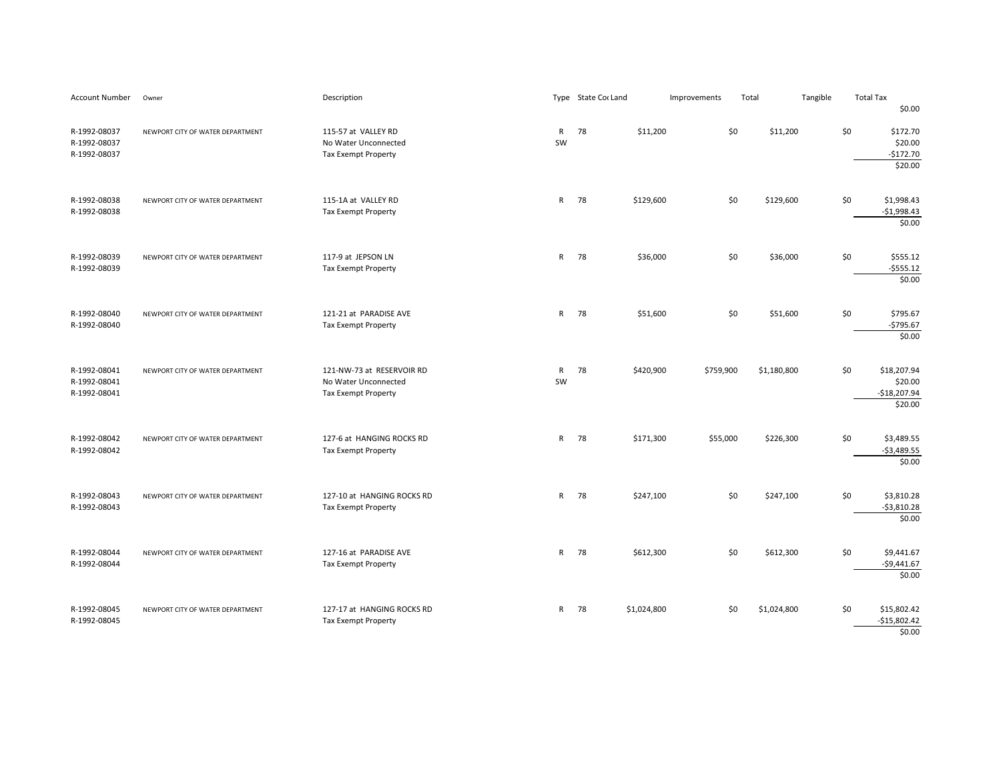| Account Number                               | Owner                            | Description                                                              |                    | Type State Cor Land |             | Improvements | Total |             | Tangible |     | <b>Total Tax</b>                                   |
|----------------------------------------------|----------------------------------|--------------------------------------------------------------------------|--------------------|---------------------|-------------|--------------|-------|-------------|----------|-----|----------------------------------------------------|
|                                              |                                  |                                                                          |                    |                     |             |              |       |             |          |     | \$0.00                                             |
| R-1992-08037<br>R-1992-08037<br>R-1992-08037 | NEWPORT CITY OF WATER DEPARTMENT | 115-57 at VALLEY RD<br>No Water Unconnected<br>Tax Exempt Property       | $\mathsf{R}$<br>SW | 78                  | \$11,200    |              | \$0   | \$11,200    |          | \$0 | \$172.70<br>\$20.00<br>$-5172.70$<br>\$20.00       |
| R-1992-08038<br>R-1992-08038                 | NEWPORT CITY OF WATER DEPARTMENT | 115-1A at VALLEY RD<br>Tax Exempt Property                               | $\mathsf{R}$       | 78                  | \$129,600   |              | \$0   | \$129,600   |          | \$0 | \$1,998.43<br>$-$1,998.43$<br>\$0.00               |
| R-1992-08039<br>R-1992-08039                 | NEWPORT CITY OF WATER DEPARTMENT | 117-9 at JEPSON LN<br>Tax Exempt Property                                | $\mathsf{R}$       | 78                  | \$36,000    |              | \$0   | \$36,000    |          | \$0 | \$555.12<br>$-$555.12$<br>\$0.00                   |
| R-1992-08040<br>R-1992-08040                 | NEWPORT CITY OF WATER DEPARTMENT | 121-21 at PARADISE AVE<br>Tax Exempt Property                            | $\mathsf{R}$       | 78                  | \$51,600    |              | \$0   | \$51,600    |          | \$0 | \$795.67<br>$-5795.67$<br>\$0.00                   |
| R-1992-08041<br>R-1992-08041<br>R-1992-08041 | NEWPORT CITY OF WATER DEPARTMENT | 121-NW-73 at RESERVOIR RD<br>No Water Unconnected<br>Tax Exempt Property | $\mathsf{R}$<br>SW | 78                  | \$420,900   | \$759,900    |       | \$1,180,800 |          | \$0 | \$18,207.94<br>\$20.00<br>$-$18,207.94$<br>\$20.00 |
| R-1992-08042<br>R-1992-08042                 | NEWPORT CITY OF WATER DEPARTMENT | 127-6 at HANGING ROCKS RD<br>Tax Exempt Property                         | $\mathsf{R}$       | 78                  | \$171,300   | \$55,000     |       | \$226,300   |          | \$0 | \$3,489.55<br>$-$3,489.55$<br>\$0.00               |
| R-1992-08043<br>R-1992-08043                 | NEWPORT CITY OF WATER DEPARTMENT | 127-10 at HANGING ROCKS RD<br>Tax Exempt Property                        | $\mathsf{R}$       | 78                  | \$247,100   |              | \$0   | \$247,100   |          | \$0 | \$3,810.28<br>$-53,810.28$<br>\$0.00               |
| R-1992-08044<br>R-1992-08044                 | NEWPORT CITY OF WATER DEPARTMENT | 127-16 at PARADISE AVE<br>Tax Exempt Property                            |                    | R 78                | \$612,300   |              | \$0   | \$612,300   |          | \$0 | \$9,441.67<br>$-$9,441.67$<br>\$0.00               |
| R-1992-08045<br>R-1992-08045                 | NEWPORT CITY OF WATER DEPARTMENT | 127-17 at HANGING ROCKS RD<br>Tax Exempt Property                        |                    | R 78                | \$1,024,800 |              | \$0   | \$1,024,800 |          | \$0 | \$15,802.42<br>$-$15,802.42$<br>\$0.00             |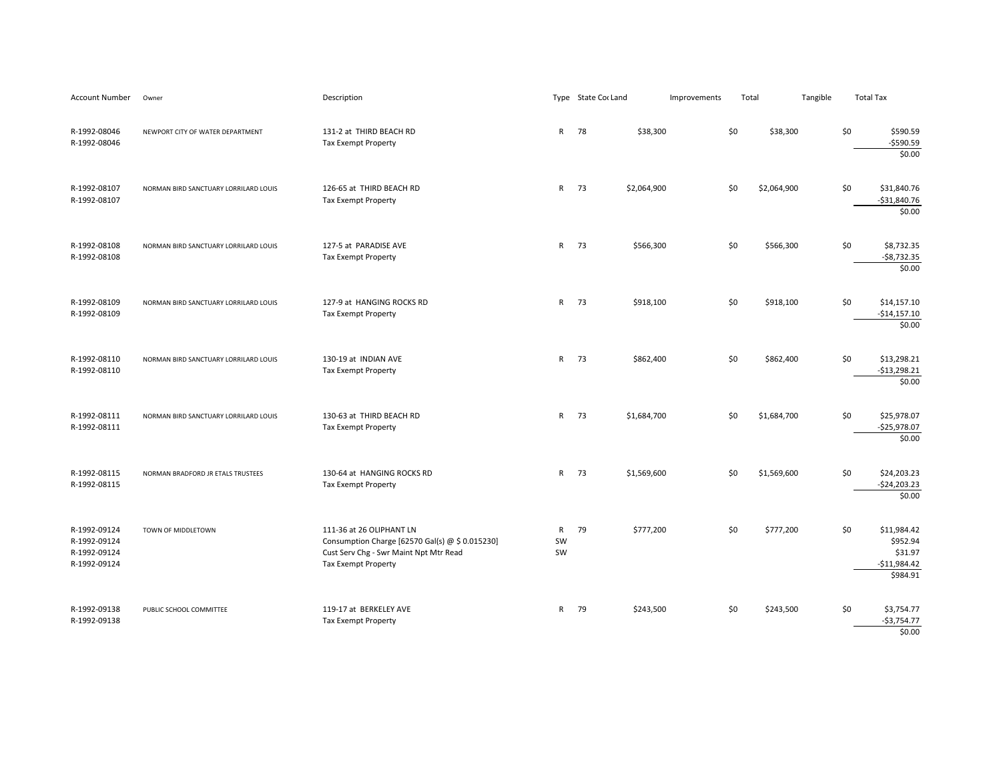| Account Number                                               | Owner                                 | Description                                                                                                                                  |                          | Type State Cor Land | Improvements | Total |             | Tangible |     | <b>Total Tax</b>                                                |
|--------------------------------------------------------------|---------------------------------------|----------------------------------------------------------------------------------------------------------------------------------------------|--------------------------|---------------------|--------------|-------|-------------|----------|-----|-----------------------------------------------------------------|
| R-1992-08046<br>R-1992-08046                                 | NEWPORT CITY OF WATER DEPARTMENT      | 131-2 at THIRD BEACH RD<br>Tax Exempt Property                                                                                               | $\mathsf{R}$             | 78<br>\$38,300      |              | \$0   | \$38,300    |          | \$0 | \$590.59<br>$-$ \$590.59<br>\$0.00                              |
| R-1992-08107<br>R-1992-08107                                 | NORMAN BIRD SANCTUARY LORRILARD LOUIS | 126-65 at THIRD BEACH RD<br>Tax Exempt Property                                                                                              | ${\sf R}$                | 73<br>\$2,064,900   |              | \$0   | \$2,064,900 |          | \$0 | \$31,840.76<br>$-$31,840.76$<br>\$0.00                          |
| R-1992-08108<br>R-1992-08108                                 | NORMAN BIRD SANCTUARY LORRILARD LOUIS | 127-5 at PARADISE AVE<br>Tax Exempt Property                                                                                                 | ${\sf R}$                | 73<br>\$566,300     |              | \$0   | \$566,300   |          | \$0 | \$8,732.35<br>$-$8,732.35$<br>\$0.00                            |
| R-1992-08109<br>R-1992-08109                                 | NORMAN BIRD SANCTUARY LORRILARD LOUIS | 127-9 at HANGING ROCKS RD<br>Tax Exempt Property                                                                                             | $\mathsf{R}$             | 73<br>\$918,100     |              | \$0   | \$918,100   |          | \$0 | \$14,157.10<br>$-$14,157.10$<br>\$0.00                          |
| R-1992-08110<br>R-1992-08110                                 | NORMAN BIRD SANCTUARY LORRILARD LOUIS | 130-19 at INDIAN AVE<br>Tax Exempt Property                                                                                                  | ${\sf R}$                | 73<br>\$862,400     |              | \$0   | \$862,400   |          | \$0 | \$13,298.21<br>$-$13,298.21$<br>\$0.00                          |
| R-1992-08111<br>R-1992-08111                                 | NORMAN BIRD SANCTUARY LORRILARD LOUIS | 130-63 at THIRD BEACH RD<br>Tax Exempt Property                                                                                              | $\mathsf{R}$             | 73<br>\$1,684,700   |              | \$0   | \$1,684,700 |          | \$0 | \$25,978.07<br>$-$25,978.07$<br>\$0.00                          |
| R-1992-08115<br>R-1992-08115                                 | NORMAN BRADFORD JR ETALS TRUSTEES     | 130-64 at HANGING ROCKS RD<br>Tax Exempt Property                                                                                            | $\mathsf{R}$             | 73<br>\$1,569,600   |              | \$0   | \$1,569,600 |          | \$0 | \$24,203.23<br>$-$24,203.23$<br>\$0.00                          |
| R-1992-09124<br>R-1992-09124<br>R-1992-09124<br>R-1992-09124 | TOWN OF MIDDLETOWN                    | 111-36 at 26 OLIPHANT LN<br>Consumption Charge [62570 Gal(s) @ \$ 0.015230]<br>Cust Serv Chg - Swr Maint Npt Mtr Read<br>Tax Exempt Property | $\mathsf{R}$<br>SW<br>SW | 79<br>\$777,200     |              | \$0   | \$777,200   |          | \$0 | \$11,984.42<br>\$952.94<br>\$31.97<br>$-$11,984.42$<br>\$984.91 |
| R-1992-09138<br>R-1992-09138                                 | PUBLIC SCHOOL COMMITTEE               | 119-17 at BERKELEY AVE<br>Tax Exempt Property                                                                                                | $\mathsf{R}$             | 79<br>\$243,500     |              | \$0   | \$243,500   |          | \$0 | \$3,754.77<br>-\$3,754.77<br>\$0.00                             |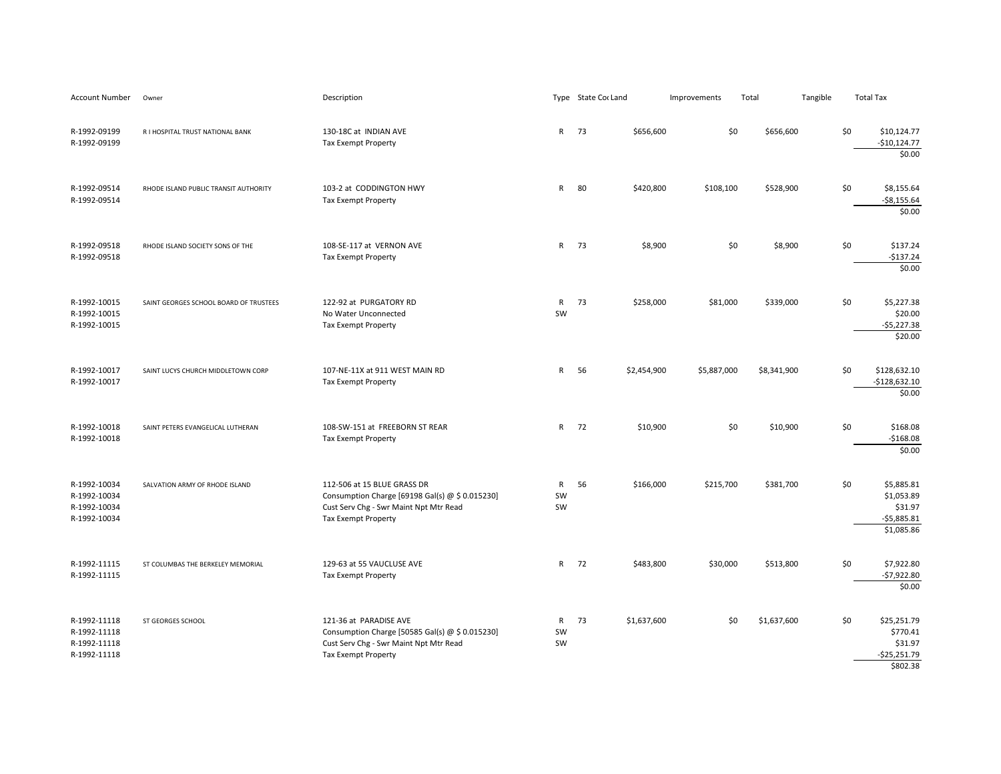| <b>Account Number</b>                                        | Owner                                  | Description                                                                                                                                            |                           | Type State Cor Land |             | Improvements | Total       | Tangible |     | <b>Total Tax</b>                                                  |
|--------------------------------------------------------------|----------------------------------------|--------------------------------------------------------------------------------------------------------------------------------------------------------|---------------------------|---------------------|-------------|--------------|-------------|----------|-----|-------------------------------------------------------------------|
| R-1992-09199<br>R-1992-09199                                 | R I HOSPITAL TRUST NATIONAL BANK       | 130-18C at INDIAN AVE<br>Tax Exempt Property                                                                                                           | $\mathsf{R}$              | 73                  | \$656,600   | \$0          | \$656,600   |          | \$0 | \$10,124.77<br>$-$10,124.77$<br>\$0.00                            |
| R-1992-09514<br>R-1992-09514                                 | RHODE ISLAND PUBLIC TRANSIT AUTHORITY  | 103-2 at CODDINGTON HWY<br><b>Tax Exempt Property</b>                                                                                                  | $\mathsf{R}$              | 80                  | \$420,800   | \$108,100    | \$528,900   |          | \$0 | \$8,155.64<br>$-$ \$8,155.64<br>\$0.00                            |
| R-1992-09518<br>R-1992-09518                                 | RHODE ISLAND SOCIETY SONS OF THE       | 108-SE-117 at VERNON AVE<br>Tax Exempt Property                                                                                                        | $\mathsf{R}$              | 73                  | \$8,900     | \$0          | \$8,900     |          | \$0 | \$137.24<br>$-$137.24$<br>\$0.00                                  |
| R-1992-10015<br>R-1992-10015<br>R-1992-10015                 | SAINT GEORGES SCHOOL BOARD OF TRUSTEES | 122-92 at PURGATORY RD<br>No Water Unconnected<br><b>Tax Exempt Property</b>                                                                           | $\mathsf{R}$<br><b>SW</b> | 73                  | \$258,000   | \$81,000     | \$339,000   |          | \$0 | \$5,227.38<br>\$20.00<br>$-$5,227.38$<br>\$20.00                  |
| R-1992-10017<br>R-1992-10017                                 | SAINT LUCYS CHURCH MIDDLETOWN CORP     | 107-NE-11X at 911 WEST MAIN RD<br>Tax Exempt Property                                                                                                  | $\mathsf{R}$              | 56                  | \$2,454,900 | \$5,887,000  | \$8,341,900 |          | \$0 | \$128,632.10<br>$-$128,632.10$<br>\$0.00                          |
| R-1992-10018<br>R-1992-10018                                 | SAINT PETERS EVANGELICAL LUTHERAN      | 108-SW-151 at FREEBORN ST REAR<br>Tax Exempt Property                                                                                                  | $\mathsf{R}$              | 72                  | \$10,900    | \$0          | \$10,900    |          | \$0 | \$168.08<br>$-$168.08$<br>\$0.00                                  |
| R-1992-10034<br>R-1992-10034<br>R-1992-10034<br>R-1992-10034 | SALVATION ARMY OF RHODE ISLAND         | 112-506 at 15 BLUE GRASS DR<br>Consumption Charge [69198 Gal(s) @ \$ 0.015230]<br>Cust Serv Chg - Swr Maint Npt Mtr Read<br><b>Tax Exempt Property</b> | $\mathsf{R}$<br>SW<br>SW  | 56                  | \$166,000   | \$215,700    | \$381,700   |          | \$0 | \$5,885.81<br>\$1,053.89<br>\$31.97<br>$-55,885.81$<br>\$1,085.86 |
| R-1992-11115<br>R-1992-11115                                 | ST COLUMBAS THE BERKELEY MEMORIAL      | 129-63 at 55 VAUCLUSE AVE<br>Tax Exempt Property                                                                                                       | $\mathsf{R}$              | 72                  | \$483,800   | \$30,000     | \$513,800   |          | \$0 | \$7,922.80<br>$-$7,922.80$<br>\$0.00                              |
| R-1992-11118<br>R-1992-11118<br>R-1992-11118<br>R-1992-11118 | ST GEORGES SCHOOL                      | 121-36 at PARADISE AVE<br>Consumption Charge [50585 Gal(s) @ \$ 0.015230]<br>Cust Serv Chg - Swr Maint Npt Mtr Read<br><b>Tax Exempt Property</b>      | $\mathsf{R}$<br>SW<br>SW  | 73                  | \$1,637,600 | \$0          | \$1,637,600 |          | \$0 | \$25,251.79<br>\$770.41<br>\$31.97<br>$-525,251.79$<br>\$802.38   |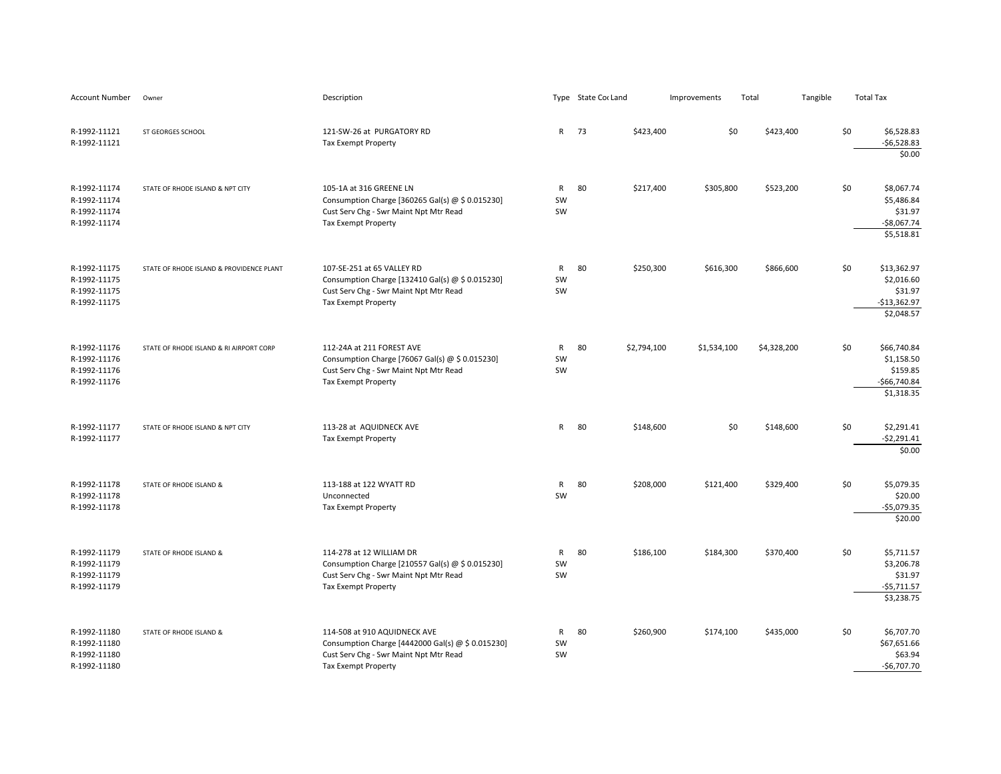| <b>Account Number</b>                                        | Owner                                    | Description                                                                                                                                               |                          | Type State Cor Land |             | Improvements | Total       | Tangible |     | <b>Total Tax</b>                                                     |
|--------------------------------------------------------------|------------------------------------------|-----------------------------------------------------------------------------------------------------------------------------------------------------------|--------------------------|---------------------|-------------|--------------|-------------|----------|-----|----------------------------------------------------------------------|
| R-1992-11121<br>R-1992-11121                                 | ST GEORGES SCHOOL                        | 121-SW-26 at PURGATORY RD<br><b>Tax Exempt Property</b>                                                                                                   | R                        | 73                  | \$423,400   | \$0          | \$423,400   |          | \$0 | \$6,528.83<br>$-56,528.83$<br>\$0.00                                 |
| R-1992-11174<br>R-1992-11174<br>R-1992-11174<br>R-1992-11174 | STATE OF RHODE ISLAND & NPT CITY         | 105-1A at 316 GREENE LN<br>Consumption Charge [360265 Gal(s) @ \$ 0.015230]<br>Cust Serv Chg - Swr Maint Npt Mtr Read<br><b>Tax Exempt Property</b>       | $\mathsf{R}$<br>SW<br>SW | 80                  | \$217,400   | \$305,800    | \$523,200   |          | \$0 | \$8,067.74<br>\$5,486.84<br>\$31.97<br>$-$8,067.74$<br>\$5,518.81    |
| R-1992-11175<br>R-1992-11175<br>R-1992-11175<br>R-1992-11175 | STATE OF RHODE ISLAND & PROVIDENCE PLANT | 107-SE-251 at 65 VALLEY RD<br>Consumption Charge [132410 Gal(s) @ \$ 0.015230]<br>Cust Serv Chg - Swr Maint Npt Mtr Read<br>Tax Exempt Property           | $\mathsf{R}$<br>SW<br>SW | 80                  | \$250,300   | \$616,300    | \$866,600   |          | \$0 | \$13,362.97<br>\$2,016.60<br>\$31.97<br>$-$13,362.97$<br>\$2,048.57  |
| R-1992-11176<br>R-1992-11176<br>R-1992-11176<br>R-1992-11176 | STATE OF RHODE ISLAND & RI AIRPORT CORP  | 112-24A at 211 FOREST AVE<br>Consumption Charge [76067 Gal(s) @ \$ 0.015230]<br>Cust Serv Chg - Swr Maint Npt Mtr Read<br><b>Tax Exempt Property</b>      | ${\sf R}$<br>SW<br>SW    | 80                  | \$2,794,100 | \$1,534,100  | \$4,328,200 |          | \$0 | \$66,740.84<br>\$1,158.50<br>\$159.85<br>$-$66,740.84$<br>\$1,318.35 |
| R-1992-11177<br>R-1992-11177                                 | STATE OF RHODE ISLAND & NPT CITY         | 113-28 at AQUIDNECK AVE<br>Tax Exempt Property                                                                                                            | $\mathsf{R}$             | 80                  | \$148,600   | \$0          | \$148,600   |          | \$0 | \$2,291.41<br>$-52,291.41$<br>\$0.00                                 |
| R-1992-11178<br>R-1992-11178<br>R-1992-11178                 | STATE OF RHODE ISLAND &                  | 113-188 at 122 WYATT RD<br>Unconnected<br>Tax Exempt Property                                                                                             | ${\sf R}$<br>SW          | 80                  | \$208,000   | \$121,400    | \$329,400   |          | \$0 | \$5,079.35<br>\$20.00<br>$-$5,079.35$<br>\$20.00                     |
| R-1992-11179<br>R-1992-11179<br>R-1992-11179<br>R-1992-11179 | STATE OF RHODE ISLAND &                  | 114-278 at 12 WILLIAM DR<br>Consumption Charge [210557 Gal(s) @ \$ 0.015230]<br>Cust Serv Chg - Swr Maint Npt Mtr Read<br>Tax Exempt Property             | $\mathsf{R}$<br>SW<br>SW | 80                  | \$186,100   | \$184,300    | \$370,400   |          | \$0 | \$5,711.57<br>\$3,206.78<br>\$31.97<br>$-55,711.57$<br>\$3,238.75    |
| R-1992-11180<br>R-1992-11180<br>R-1992-11180<br>R-1992-11180 | STATE OF RHODE ISLAND &                  | 114-508 at 910 AQUIDNECK AVE<br>Consumption Charge [4442000 Gal(s) @ \$ 0.015230]<br>Cust Serv Chg - Swr Maint Npt Mtr Read<br><b>Tax Exempt Property</b> | $\mathsf{R}$<br>SW<br>SW | 80                  | \$260,900   | \$174,100    | \$435,000   |          | \$0 | \$6,707.70<br>\$67,651.66<br>\$63.94<br>$-56,707.70$                 |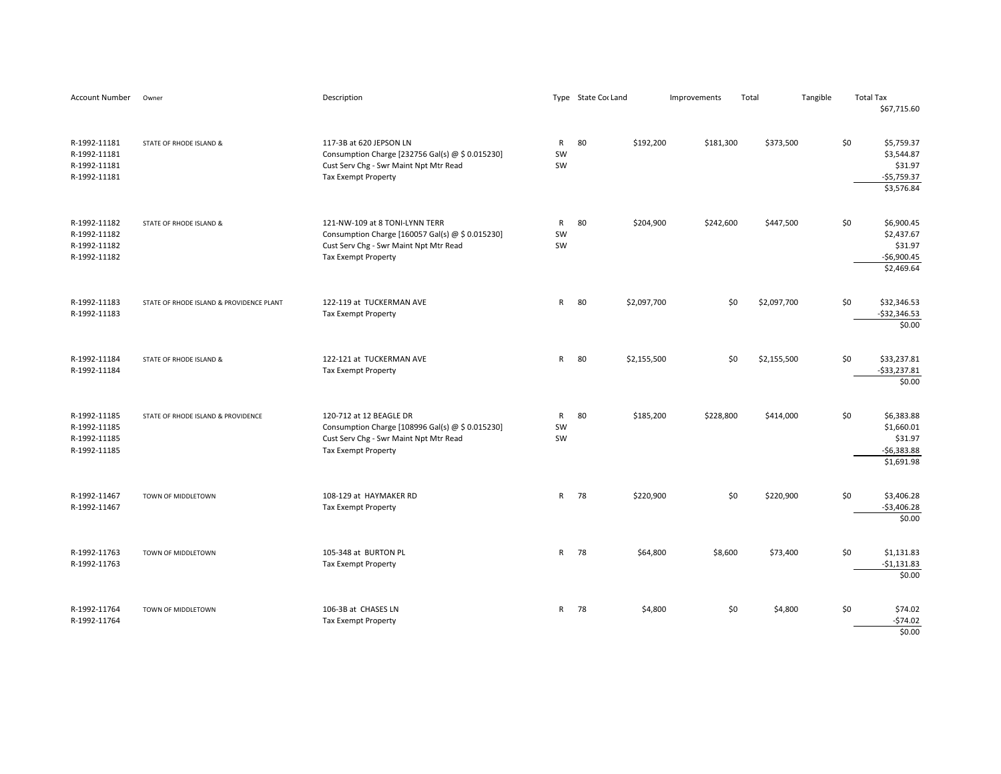| Account Number                                               | Owner                                    | Description                                                                                                                                                |                          | Type State Cor Land | Improvements | Total              | Tangible |     | <b>Total Tax</b><br>\$67,715.60                                   |
|--------------------------------------------------------------|------------------------------------------|------------------------------------------------------------------------------------------------------------------------------------------------------------|--------------------------|---------------------|--------------|--------------------|----------|-----|-------------------------------------------------------------------|
| R-1992-11181<br>R-1992-11181<br>R-1992-11181<br>R-1992-11181 | STATE OF RHODE ISLAND &                  | 117-3B at 620 JEPSON LN<br>Consumption Charge [232756 Gal(s) @ \$ 0.015230]<br>Cust Serv Chg - Swr Maint Npt Mtr Read<br><b>Tax Exempt Property</b>        | $\mathsf{R}$<br>SW<br>SW | 80<br>\$192,200     | \$181,300    | \$373,500          |          | \$0 | \$5,759.37<br>\$3,544.87<br>\$31.97<br>$-$5,759.37$<br>\$3,576.84 |
| R-1992-11182<br>R-1992-11182<br>R-1992-11182<br>R-1992-11182 | STATE OF RHODE ISLAND &                  | 121-NW-109 at 8 TONI-LYNN TERR<br>Consumption Charge [160057 Gal(s) @ \$ 0.015230]<br>Cust Serv Chg - Swr Maint Npt Mtr Read<br><b>Tax Exempt Property</b> | $\mathsf{R}$<br>SW<br>SW | 80<br>\$204,900     | \$242,600    | \$447,500          |          | \$0 | \$6,900.45<br>\$2,437.67<br>\$31.97<br>$-$6,900.45$<br>\$2,469.64 |
| R-1992-11183<br>R-1992-11183                                 | STATE OF RHODE ISLAND & PROVIDENCE PLANT | 122-119 at TUCKERMAN AVE<br><b>Tax Exempt Property</b>                                                                                                     | R                        | 80<br>\$2,097,700   |              | \$0<br>\$2,097,700 |          | \$0 | \$32,346.53<br>$-$32,346.53$<br>\$0.00                            |
| R-1992-11184<br>R-1992-11184                                 | STATE OF RHODE ISLAND &                  | 122-121 at TUCKERMAN AVE<br><b>Tax Exempt Property</b>                                                                                                     | R                        | 80<br>\$2,155,500   |              | \$0<br>\$2,155,500 |          | \$0 | \$33,237.81<br>$-533,237.81$<br>\$0.00                            |
| R-1992-11185<br>R-1992-11185<br>R-1992-11185<br>R-1992-11185 | STATE OF RHODE ISLAND & PROVIDENCE       | 120-712 at 12 BEAGLE DR<br>Consumption Charge [108996 Gal(s) @ \$ 0.015230]<br>Cust Serv Chg - Swr Maint Npt Mtr Read<br><b>Tax Exempt Property</b>        | R<br>SW<br>SW            | 80<br>\$185,200     | \$228,800    | \$414,000          |          | \$0 | \$6,383.88<br>\$1,660.01<br>\$31.97<br>$-56,383.88$<br>\$1,691.98 |
| R-1992-11467<br>R-1992-11467                                 | TOWN OF MIDDLETOWN                       | 108-129 at HAYMAKER RD<br>Tax Exempt Property                                                                                                              | R                        | 78<br>\$220,900     |              | \$0<br>\$220,900   |          | \$0 | \$3,406.28<br>$-53,406.28$<br>\$0.00                              |
| R-1992-11763<br>R-1992-11763                                 | TOWN OF MIDDLETOWN                       | 105-348 at BURTON PL<br>Tax Exempt Property                                                                                                                |                          | R 78<br>\$64,800    | \$8,600      | \$73,400           |          | \$0 | \$1,131.83<br>$-$1,131.83$<br>\$0.00                              |
| R-1992-11764<br>R-1992-11764                                 | TOWN OF MIDDLETOWN                       | 106-3B at CHASES LN<br>Tax Exempt Property                                                                                                                 |                          | R 78<br>\$4,800     |              | \$0<br>\$4,800     |          | \$0 | \$74.02<br>$-574.02$<br>\$0.00                                    |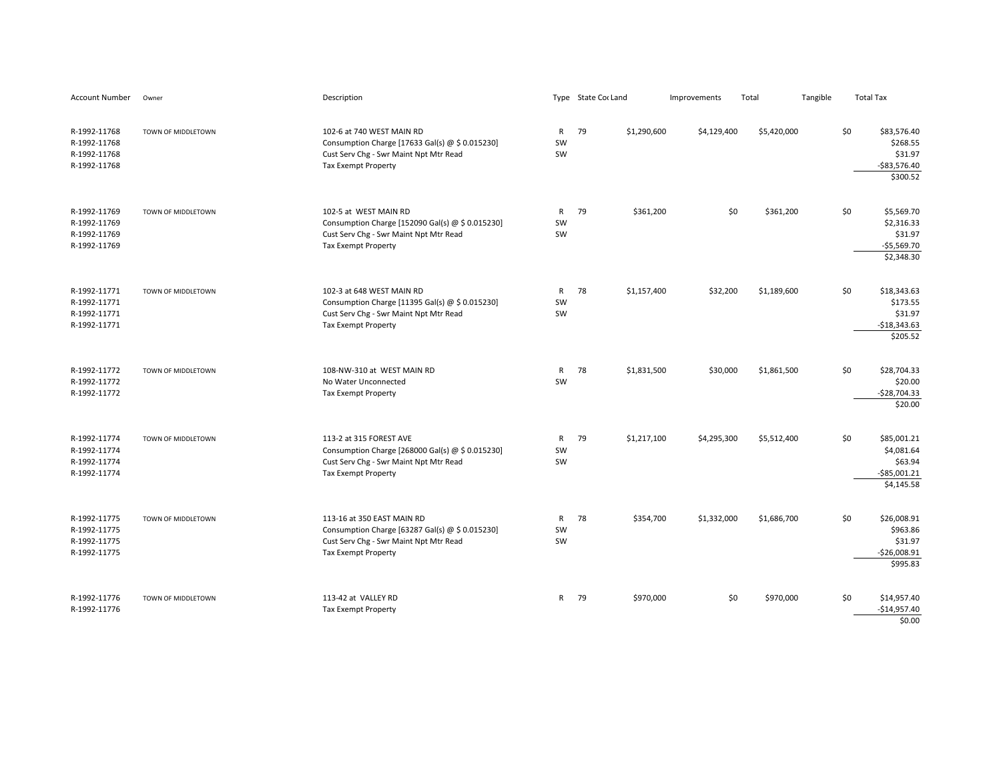| <b>Account Number</b>                                        | Owner              | Description                                                                                                                                           |                          | Type State Cor Land | Improvements | Total       | Tangible | <b>Total Tax</b>                                                             |
|--------------------------------------------------------------|--------------------|-------------------------------------------------------------------------------------------------------------------------------------------------------|--------------------------|---------------------|--------------|-------------|----------|------------------------------------------------------------------------------|
| R-1992-11768<br>R-1992-11768<br>R-1992-11768<br>R-1992-11768 | TOWN OF MIDDLETOWN | 102-6 at 740 WEST MAIN RD<br>Consumption Charge [17633 Gal(s) @ \$ 0.015230]<br>Cust Serv Chg - Swr Maint Npt Mtr Read<br>Tax Exempt Property         | $\mathsf{R}$<br>SW<br>SW | 79<br>\$1,290,600   | \$4,129,400  | \$5,420,000 |          | \$0<br>\$83,576.40<br>\$268.55<br>\$31.97<br>$-$ \$83,576.40<br>\$300.52     |
| R-1992-11769<br>R-1992-11769<br>R-1992-11769<br>R-1992-11769 | TOWN OF MIDDLETOWN | 102-5 at WEST MAIN RD<br>Consumption Charge [152090 Gal(s) @ \$ 0.015230]<br>Cust Serv Chg - Swr Maint Npt Mtr Read<br><b>Tax Exempt Property</b>     | $\mathsf{R}$<br>SW<br>SW | 79<br>\$361,200     | \$0          | \$361,200   |          | \$0<br>\$5,569.70<br>\$2,316.33<br>\$31.97<br>$-$5,569.70$<br>\$2,348.30     |
| R-1992-11771<br>R-1992-11771<br>R-1992-11771<br>R-1992-11771 | TOWN OF MIDDLETOWN | 102-3 at 648 WEST MAIN RD<br>Consumption Charge [11395 Gal(s) @ \$ 0.015230]<br>Cust Serv Chg - Swr Maint Npt Mtr Read<br>Tax Exempt Property         | $\mathsf{R}$<br>SW<br>SW | 78<br>\$1,157,400   | \$32,200     | \$1,189,600 |          | \$0<br>\$18,343.63<br>\$173.55<br>\$31.97<br>$-$18,343.63$<br>\$205.52       |
| R-1992-11772<br>R-1992-11772<br>R-1992-11772                 | TOWN OF MIDDLETOWN | 108-NW-310 at WEST MAIN RD<br>No Water Unconnected<br><b>Tax Exempt Property</b>                                                                      | $\mathsf{R}$<br>SW       | 78<br>\$1,831,500   | \$30,000     | \$1,861,500 |          | \$0<br>\$28,704.33<br>\$20.00<br>$-$28,704.33$<br>\$20.00                    |
| R-1992-11774<br>R-1992-11774<br>R-1992-11774<br>R-1992-11774 | TOWN OF MIDDLETOWN | 113-2 at 315 FOREST AVE<br>Consumption Charge [268000 Gal(s) @ \$ 0.015230]<br>Cust Serv Chg - Swr Maint Npt Mtr Read<br><b>Tax Exempt Property</b>   | ${\sf R}$<br>SW<br>SW    | 79<br>\$1,217,100   | \$4,295,300  | \$5,512,400 |          | \$0<br>\$85,001.21<br>\$4,081.64<br>\$63.94<br>$-$ \$85,001.21<br>\$4,145.58 |
| R-1992-11775<br>R-1992-11775<br>R-1992-11775<br>R-1992-11775 | TOWN OF MIDDLETOWN | 113-16 at 350 EAST MAIN RD<br>Consumption Charge [63287 Gal(s) @ \$ 0.015230]<br>Cust Serv Chg - Swr Maint Npt Mtr Read<br><b>Tax Exempt Property</b> | $\mathsf{R}$<br>SW<br>SW | 78<br>\$354,700     | \$1,332,000  | \$1,686,700 |          | \$0<br>\$26,008.91<br>\$963.86<br>\$31.97<br>$-$26,008.91$<br>\$995.83       |
| R-1992-11776<br>R-1992-11776                                 | TOWN OF MIDDLETOWN | 113-42 at VALLEY RD<br><b>Tax Exempt Property</b>                                                                                                     | R                        | 79<br>\$970,000     | \$0          | \$970,000   |          | \$0<br>\$14,957.40<br>$-$14,957.40$<br>\$0.00                                |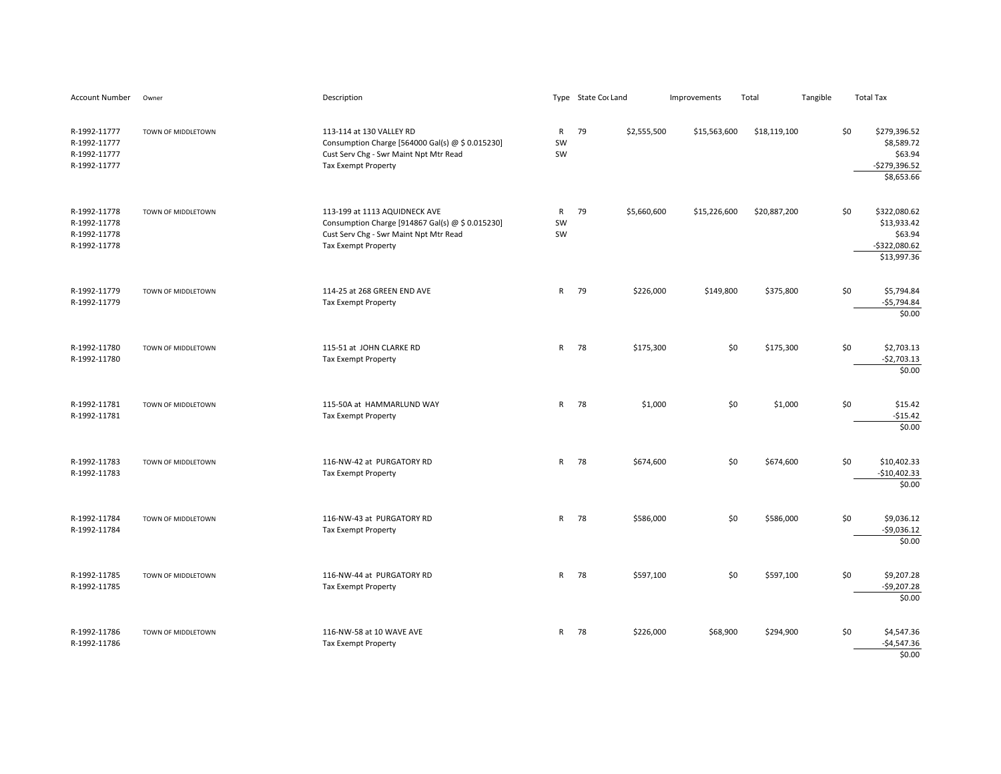| Account Number                                               | Owner              | Description                                                                                                                                        |                          | Type State Cor Land | Improvements | Total        | Tangible | <b>Total Tax</b>                                                    |                                |
|--------------------------------------------------------------|--------------------|----------------------------------------------------------------------------------------------------------------------------------------------------|--------------------------|---------------------|--------------|--------------|----------|---------------------------------------------------------------------|--------------------------------|
| R-1992-11777<br>R-1992-11777<br>R-1992-11777<br>R-1992-11777 | TOWN OF MIDDLETOWN | 113-114 at 130 VALLEY RD<br>Consumption Charge [564000 Gal(s) @ \$ 0.015230]<br>Cust Serv Chg - Swr Maint Npt Mtr Read<br>Tax Exempt Property      | R<br>SW<br>SW            | 79<br>\$2,555,500   | \$15,563,600 | \$18,119,100 |          | \$0<br>\$279,396.52<br>\$8,589.72<br>-\$279,396.52<br>\$8,653.66    | \$63.94                        |
| R-1992-11778<br>R-1992-11778<br>R-1992-11778<br>R-1992-11778 | TOWN OF MIDDLETOWN | 113-199 at 1113 AQUIDNECK AVE<br>Consumption Charge [914867 Gal(s) @ \$ 0.015230]<br>Cust Serv Chg - Swr Maint Npt Mtr Read<br>Tax Exempt Property | $\mathsf{R}$<br>SW<br>SW | 79<br>\$5,660,600   | \$15,226,600 | \$20,887,200 |          | \$0<br>\$322,080.62<br>\$13,933.42<br>$-5322,080.62$<br>\$13,997.36 | \$63.94                        |
| R-1992-11779<br>R-1992-11779                                 | TOWN OF MIDDLETOWN | 114-25 at 268 GREEN END AVE<br>Tax Exempt Property                                                                                                 | R                        | 79<br>\$226,000     | \$149,800    | \$375,800    |          | \$0<br>\$5,794.84<br>-\$5,794.84                                    | \$0.00                         |
| R-1992-11780<br>R-1992-11780                                 | TOWN OF MIDDLETOWN | 115-51 at JOHN CLARKE RD<br><b>Tax Exempt Property</b>                                                                                             | R.                       | 78<br>\$175,300     | \$0          | \$175,300    |          | \$0<br>\$2,703.13<br>$-$2,703.13$                                   | \$0.00                         |
| R-1992-11781<br>R-1992-11781                                 | TOWN OF MIDDLETOWN | 115-50A at HAMMARLUND WAY<br>Tax Exempt Property                                                                                                   |                          | R 78<br>\$1,000     | \$0          | \$1,000      |          | \$0                                                                 | \$15.42<br>$-$15.42$<br>\$0.00 |
| R-1992-11783<br>R-1992-11783                                 | TOWN OF MIDDLETOWN | 116-NW-42 at PURGATORY RD<br><b>Tax Exempt Property</b>                                                                                            | R.                       | 78<br>\$674,600     | \$0          | \$674,600    |          | \$0<br>\$10,402.33<br>$-$10,402.33$                                 | \$0.00                         |
| R-1992-11784<br>R-1992-11784                                 | TOWN OF MIDDLETOWN | 116-NW-43 at PURGATORY RD<br><b>Tax Exempt Property</b>                                                                                            | $\mathsf{R}$             | 78<br>\$586,000     | \$0          | \$586,000    |          | \$0<br>\$9,036.12<br>$-$9,036.12$                                   | \$0.00                         |
| R-1992-11785<br>R-1992-11785                                 | TOWN OF MIDDLETOWN | 116-NW-44 at PURGATORY RD<br><b>Tax Exempt Property</b>                                                                                            | $\mathsf{R}$             | 78<br>\$597,100     | \$0          | \$597,100    |          | \$0<br>\$9,207.28<br>$-$9,207.28$                                   | \$0.00                         |
| R-1992-11786<br>R-1992-11786                                 | TOWN OF MIDDLETOWN | 116-NW-58 at 10 WAVE AVE<br><b>Tax Exempt Property</b>                                                                                             |                          | R 78<br>\$226,000   | \$68,900     | \$294,900    |          | \$0<br>\$4,547.36<br>$-$4,547.36$                                   | \$0.00                         |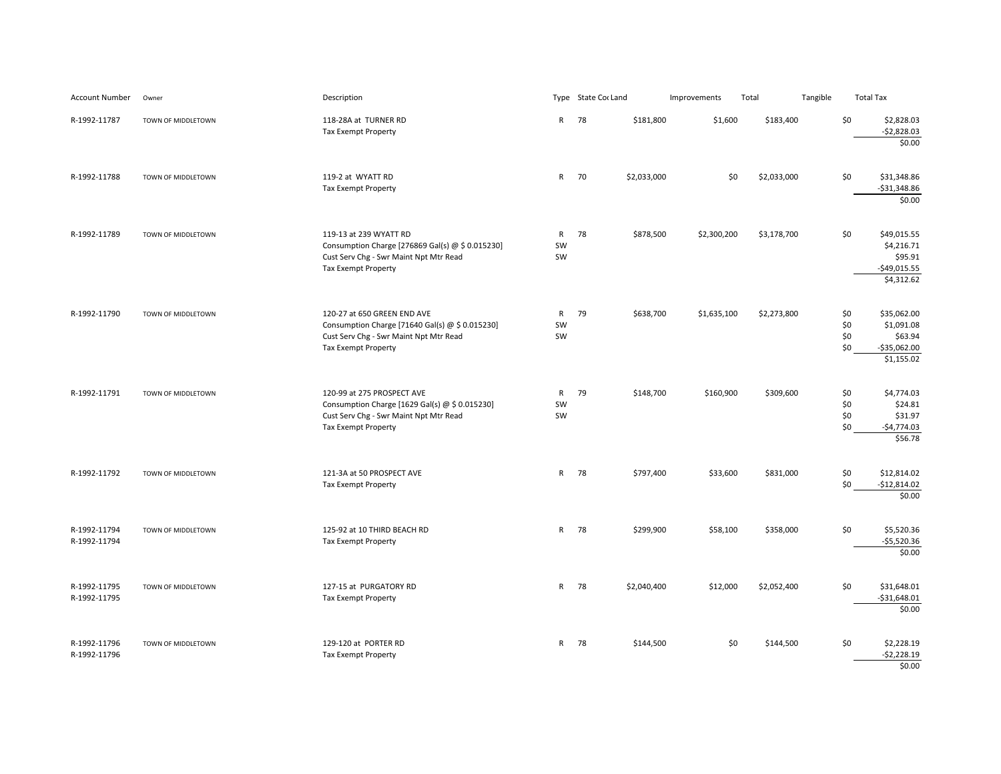| <b>Account Number</b>        | Owner              | Description                                                                                                                                            |                          | Type State Cor Land |             | Improvements | Total       | Tangible |                          | <b>Total Tax</b>                                                      |
|------------------------------|--------------------|--------------------------------------------------------------------------------------------------------------------------------------------------------|--------------------------|---------------------|-------------|--------------|-------------|----------|--------------------------|-----------------------------------------------------------------------|
| R-1992-11787                 | TOWN OF MIDDLETOWN | 118-28A at TURNER RD<br><b>Tax Exempt Property</b>                                                                                                     | $\mathsf{R}$             | 78                  | \$181,800   | \$1,600      | \$183,400   |          | \$0                      | \$2,828.03<br>$-52,828.03$<br>\$0.00                                  |
| R-1992-11788                 | TOWN OF MIDDLETOWN | 119-2 at WYATT RD<br>Tax Exempt Property                                                                                                               | R                        | 70                  | \$2,033,000 | \$0          | \$2,033,000 |          | \$0                      | \$31,348.86<br>$-$31,348.86$<br>\$0.00                                |
| R-1992-11789                 | TOWN OF MIDDLETOWN | 119-13 at 239 WYATT RD<br>Consumption Charge [276869 Gal(s) @ \$ 0.015230]<br>Cust Serv Chg - Swr Maint Npt Mtr Read<br><b>Tax Exempt Property</b>     | $\mathsf{R}$<br>SW<br>SW | 78                  | \$878,500   | \$2,300,200  | \$3,178,700 |          | \$0                      | \$49,015.55<br>\$4,216.71<br>\$95.91<br>$-$ \$49,015.55<br>\$4,312.62 |
| R-1992-11790                 | TOWN OF MIDDLETOWN | 120-27 at 650 GREEN END AVE<br>Consumption Charge [71640 Gal(s) @ \$ 0.015230]<br>Cust Serv Chg - Swr Maint Npt Mtr Read<br><b>Tax Exempt Property</b> | $\mathsf{R}$<br>SW<br>SW | 79                  | \$638,700   | \$1,635,100  | \$2,273,800 |          | \$0<br>\$0<br>\$0<br>\$0 | \$35,062.00<br>\$1,091.08<br>\$63.94<br>$-$35,062.00$<br>\$1,155.02   |
| R-1992-11791                 | TOWN OF MIDDLETOWN | 120-99 at 275 PROSPECT AVE<br>Consumption Charge [1629 Gal(s) @ \$ 0.015230]<br>Cust Serv Chg - Swr Maint Npt Mtr Read<br><b>Tax Exempt Property</b>   | $\mathsf{R}$<br>SW<br>SW | 79                  | \$148,700   | \$160,900    | \$309,600   |          | \$0<br>\$0<br>\$0<br>\$0 | \$4,774.03<br>\$24.81<br>\$31.97<br>$-$4,774.03$<br>\$56.78           |
| R-1992-11792                 | TOWN OF MIDDLETOWN | 121-3A at 50 PROSPECT AVE<br>Tax Exempt Property                                                                                                       |                          | R 78                | \$797,400   | \$33,600     | \$831,000   |          | \$0<br>\$0               | \$12,814.02<br>$-$12,814.02$<br>\$0.00                                |
| R-1992-11794<br>R-1992-11794 | TOWN OF MIDDLETOWN | 125-92 at 10 THIRD BEACH RD<br><b>Tax Exempt Property</b>                                                                                              | $\mathsf{R}$             | 78                  | \$299,900   | \$58,100     | \$358,000   |          | \$0                      | \$5,520.36<br>$-$5,520.36$<br>\$0.00                                  |
| R-1992-11795<br>R-1992-11795 | TOWN OF MIDDLETOWN | 127-15 at PURGATORY RD<br><b>Tax Exempt Property</b>                                                                                                   | $\mathsf{R}$             | 78                  | \$2,040,400 | \$12,000     | \$2,052,400 |          | \$0                      | \$31,648.01<br>$-$31,648.01$<br>\$0.00                                |
| R-1992-11796<br>R-1992-11796 | TOWN OF MIDDLETOWN | 129-120 at PORTER RD<br>Tax Exempt Property                                                                                                            |                          | R 78                | \$144,500   | \$0          | \$144,500   |          | \$0                      | \$2,228.19<br>$-52,228.19$<br>\$0.00                                  |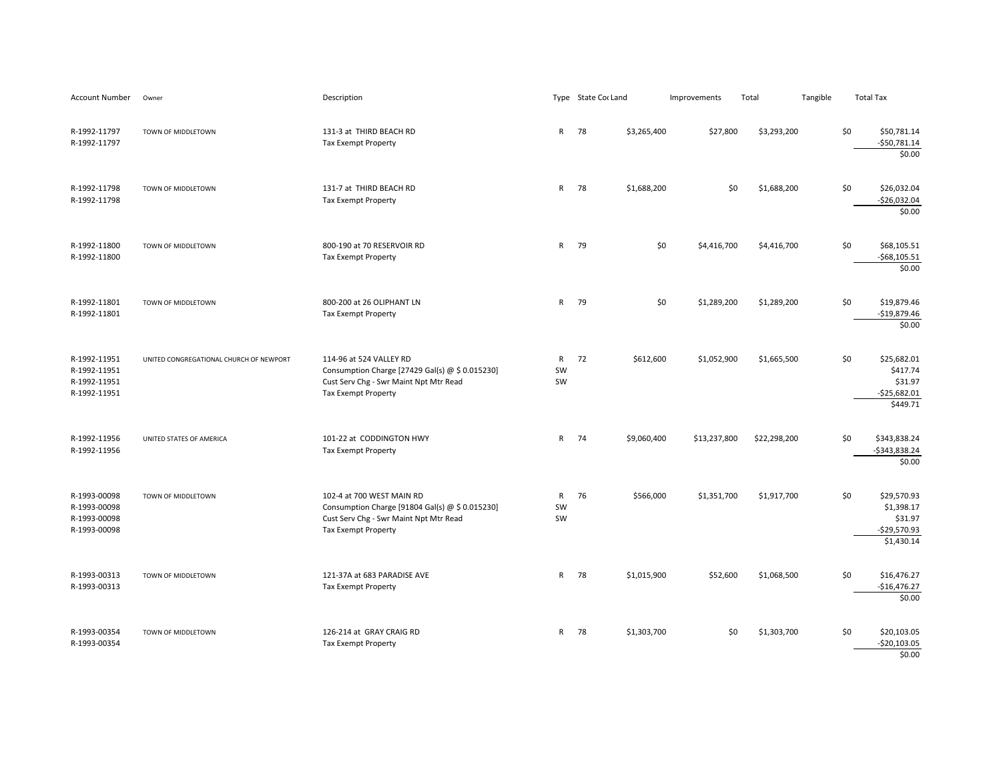| Account Number                                               | Owner                                   | Description                                                                                                                                          |                          | Type State Cor Land |             | Improvements | Total        | Tangible | <b>Total Tax</b> |                                                                     |
|--------------------------------------------------------------|-----------------------------------------|------------------------------------------------------------------------------------------------------------------------------------------------------|--------------------------|---------------------|-------------|--------------|--------------|----------|------------------|---------------------------------------------------------------------|
| R-1992-11797<br>R-1992-11797                                 | TOWN OF MIDDLETOWN                      | 131-3 at THIRD BEACH RD<br>Tax Exempt Property                                                                                                       | $\mathsf{R}$             | 78                  | \$3,265,400 | \$27,800     | \$3,293,200  |          | \$0              | \$50,781.14<br>$-$50,781.14$<br>\$0.00                              |
| R-1992-11798<br>R-1992-11798                                 | TOWN OF MIDDLETOWN                      | 131-7 at THIRD BEACH RD<br>Tax Exempt Property                                                                                                       | $\mathsf{R}$             | 78                  | \$1,688,200 | \$0          | \$1,688,200  |          | \$0              | \$26,032.04<br>$-$26,032.04$<br>\$0.00                              |
| R-1992-11800<br>R-1992-11800                                 | TOWN OF MIDDLETOWN                      | 800-190 at 70 RESERVOIR RD<br><b>Tax Exempt Property</b>                                                                                             | $\mathsf{R}$             | 79                  | \$0         | \$4,416,700  | \$4,416,700  |          | \$0              | \$68,105.51<br>$-568, 105.51$<br>\$0.00                             |
| R-1992-11801<br>R-1992-11801                                 | TOWN OF MIDDLETOWN                      | 800-200 at 26 OLIPHANT LN<br><b>Tax Exempt Property</b>                                                                                              | $\mathsf{R}$             | 79                  | \$0         | \$1,289,200  | \$1,289,200  |          | \$0              | \$19,879.46<br>$-$19,879.46$<br>\$0.00                              |
| R-1992-11951<br>R-1992-11951<br>R-1992-11951<br>R-1992-11951 | UNITED CONGREGATIONAL CHURCH OF NEWPORT | 114-96 at 524 VALLEY RD<br>Consumption Charge [27429 Gal(s) @ \$ 0.015230]<br>Cust Serv Chg - Swr Maint Npt Mtr Read<br>Tax Exempt Property          | $\mathsf{R}$<br>SW<br>SW | 72                  | \$612,600   | \$1,052,900  | \$1,665,500  |          | \$0              | \$25,682.01<br>\$417.74<br>\$31.97<br>$-$25,682.01$<br>\$449.71     |
| R-1992-11956<br>R-1992-11956                                 | UNITED STATES OF AMERICA                | 101-22 at CODDINGTON HWY<br>Tax Exempt Property                                                                                                      | $\mathsf{R}$             | 74                  | \$9,060,400 | \$13,237,800 | \$22,298,200 |          | \$0              | \$343,838.24<br>-\$343,838.24<br>\$0.00                             |
| R-1993-00098<br>R-1993-00098<br>R-1993-00098<br>R-1993-00098 | TOWN OF MIDDLETOWN                      | 102-4 at 700 WEST MAIN RD<br>Consumption Charge [91804 Gal(s) @ \$ 0.015230]<br>Cust Serv Chg - Swr Maint Npt Mtr Read<br><b>Tax Exempt Property</b> | R<br>SW<br>SW            | 76                  | \$566,000   | \$1,351,700  | \$1,917,700  |          | \$0              | \$29,570.93<br>\$1,398.17<br>\$31.97<br>$-$29,570.93$<br>\$1,430.14 |
| R-1993-00313<br>R-1993-00313                                 | TOWN OF MIDDLETOWN                      | 121-37A at 683 PARADISE AVE<br><b>Tax Exempt Property</b>                                                                                            | $\mathsf{R}$             | 78                  | \$1,015,900 | \$52,600     | \$1,068,500  |          | \$0              | \$16,476.27<br>$-$16,476.27$<br>\$0.00                              |
| R-1993-00354<br>R-1993-00354                                 | TOWN OF MIDDLETOWN                      | 126-214 at GRAY CRAIG RD<br><b>Tax Exempt Property</b>                                                                                               | $\mathsf{R}$             | 78                  | \$1,303,700 | \$0          | \$1,303,700  |          | \$0              | \$20,103.05<br>$-520, 103.05$<br>\$0.00                             |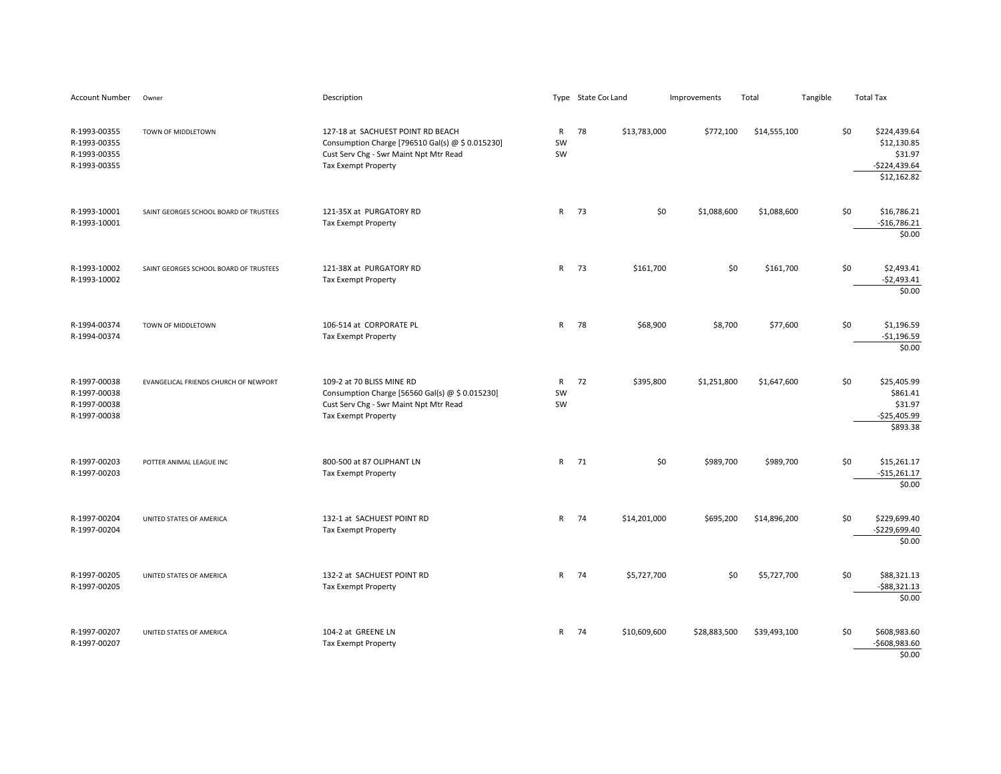| Account Number                                               | Owner                                  | Description                                                                                                                                                   |                          | Type State Cor Land |              | Improvements | Total        | Tangible |     | <b>Total Tax</b>                                                        |
|--------------------------------------------------------------|----------------------------------------|---------------------------------------------------------------------------------------------------------------------------------------------------------------|--------------------------|---------------------|--------------|--------------|--------------|----------|-----|-------------------------------------------------------------------------|
| R-1993-00355<br>R-1993-00355<br>R-1993-00355<br>R-1993-00355 | TOWN OF MIDDLETOWN                     | 127-18 at SACHUEST POINT RD BEACH<br>Consumption Charge [796510 Gal(s) @ \$ 0.015230]<br>Cust Serv Chg - Swr Maint Npt Mtr Read<br><b>Tax Exempt Property</b> | R<br>SW<br>SW            | 78                  | \$13,783,000 | \$772,100    | \$14,555,100 |          | \$0 | \$224,439.64<br>\$12,130.85<br>\$31.97<br>$-$224,439.64$<br>\$12,162.82 |
| R-1993-10001<br>R-1993-10001                                 | SAINT GEORGES SCHOOL BOARD OF TRUSTEES | 121-35X at PURGATORY RD<br>Tax Exempt Property                                                                                                                | $\mathsf{R}$             | 73                  | \$0          | \$1,088,600  | \$1,088,600  |          | \$0 | \$16,786.21<br>$-$16,786.21$<br>\$0.00                                  |
| R-1993-10002<br>R-1993-10002                                 | SAINT GEORGES SCHOOL BOARD OF TRUSTEES | 121-38X at PURGATORY RD<br>Tax Exempt Property                                                                                                                | $\mathsf{R}$             | 73                  | \$161,700    | \$0          | \$161,700    |          | \$0 | \$2,493.41<br>$-$2,493.41$<br>\$0.00                                    |
| R-1994-00374<br>R-1994-00374                                 | TOWN OF MIDDLETOWN                     | 106-514 at CORPORATE PL<br>Tax Exempt Property                                                                                                                | $\mathsf{R}$             | 78                  | \$68,900     | \$8,700      | \$77,600     |          | \$0 | \$1,196.59<br>$-$1,196.59$<br>\$0.00                                    |
| R-1997-00038<br>R-1997-00038<br>R-1997-00038<br>R-1997-00038 | EVANGELICAL FRIENDS CHURCH OF NEWPORT  | 109-2 at 70 BLISS MINE RD<br>Consumption Charge [56560 Gal(s) $\omega$ \$ 0.015230]<br>Cust Serv Chg - Swr Maint Npt Mtr Read<br><b>Tax Exempt Property</b>   | $\mathsf{R}$<br>SW<br>SW | 72                  | \$395,800    | \$1,251,800  | \$1,647,600  |          | \$0 | \$25,405.99<br>\$861.41<br>\$31.97<br>$-$25,405.99$<br>\$893.38         |
| R-1997-00203<br>R-1997-00203                                 | POTTER ANIMAL LEAGUE INC               | 800-500 at 87 OLIPHANT LN<br><b>Tax Exempt Property</b>                                                                                                       | $\mathsf{R}$             | 71                  | \$0          | \$989,700    | \$989,700    |          | \$0 | \$15,261.17<br>$-$15,261.17$<br>\$0.00                                  |
| R-1997-00204<br>R-1997-00204                                 | UNITED STATES OF AMERICA               | 132-1 at SACHUEST POINT RD<br><b>Tax Exempt Property</b>                                                                                                      | $\mathsf{R}$             | 74                  | \$14,201,000 | \$695,200    | \$14,896,200 |          | \$0 | \$229,699.40<br>$-$229,699.40$<br>\$0.00                                |
| R-1997-00205<br>R-1997-00205                                 | UNITED STATES OF AMERICA               | 132-2 at SACHUEST POINT RD<br><b>Tax Exempt Property</b>                                                                                                      | $\mathsf{R}$             | 74                  | \$5,727,700  | \$0          | \$5,727,700  |          | \$0 | \$88,321.13<br>$-$ \$88,321.13<br>\$0.00                                |
| R-1997-00207<br>R-1997-00207                                 | UNITED STATES OF AMERICA               | 104-2 at GREENE LN<br><b>Tax Exempt Property</b>                                                                                                              | $\mathsf{R}$             | 74                  | \$10,609,600 | \$28,883,500 | \$39,493,100 |          | \$0 | \$608,983.60<br>$-5608,983.60$<br>\$0.00                                |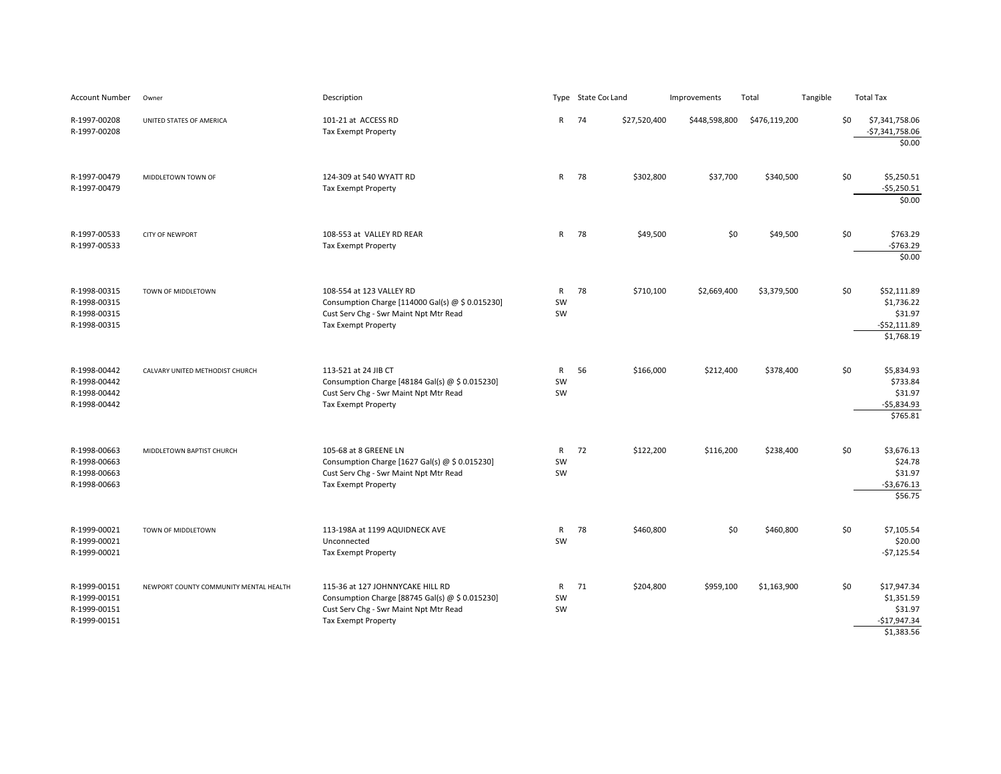| <b>Account Number</b>                                        | Owner                                  | Description                                                                                                                                                 |                          |    | Type State Cor Land | Improvements  | Total         | Tangible |     | <b>Total Tax</b>                                                    |
|--------------------------------------------------------------|----------------------------------------|-------------------------------------------------------------------------------------------------------------------------------------------------------------|--------------------------|----|---------------------|---------------|---------------|----------|-----|---------------------------------------------------------------------|
| R-1997-00208<br>R-1997-00208                                 | UNITED STATES OF AMERICA               | 101-21 at ACCESS RD<br><b>Tax Exempt Property</b>                                                                                                           | R                        | 74 | \$27,520,400        | \$448,598,800 | \$476,119,200 |          | \$0 | \$7,341,758.06<br>$-$7,341,758.06$<br>\$0.00                        |
| R-1997-00479<br>R-1997-00479                                 | MIDDLETOWN TOWN OF                     | 124-309 at 540 WYATT RD<br><b>Tax Exempt Property</b>                                                                                                       | $\mathsf{R}$             | 78 | \$302,800           | \$37,700      | \$340,500     |          | \$0 | \$5,250.51<br>$-$5,250.51$<br>\$0.00                                |
| R-1997-00533<br>R-1997-00533                                 | CITY OF NEWPORT                        | 108-553 at VALLEY RD REAR<br><b>Tax Exempt Property</b>                                                                                                     | $\mathsf{R}$             | 78 | \$49,500            | \$0           | \$49,500      |          | \$0 | \$763.29<br>$-5763.29$<br>\$0.00                                    |
| R-1998-00315<br>R-1998-00315<br>R-1998-00315<br>R-1998-00315 | TOWN OF MIDDLETOWN                     | 108-554 at 123 VALLEY RD<br>Consumption Charge [114000 Gal(s) @ \$ 0.015230]<br>Cust Serv Chg - Swr Maint Npt Mtr Read<br><b>Tax Exempt Property</b>        | $\mathsf{R}$<br>SW<br>SW | 78 | \$710,100           | \$2,669,400   | \$3,379,500   |          | \$0 | \$52,111.89<br>\$1,736.22<br>\$31.97<br>$-552,111.89$<br>\$1,768.19 |
| R-1998-00442<br>R-1998-00442<br>R-1998-00442<br>R-1998-00442 | CALVARY UNITED METHODIST CHURCH        | 113-521 at 24 JIB CT<br>Consumption Charge [48184 Gal(s) $\omega$ \$ 0.015230]<br>Cust Serv Chg - Swr Maint Npt Mtr Read<br>Tax Exempt Property             | ${\sf R}$<br>SW<br>SW    | 56 | \$166,000           | \$212,400     | \$378,400     |          | \$0 | \$5,834.93<br>\$733.84<br>\$31.97<br>$-$5,834.93$<br>\$765.81       |
| R-1998-00663<br>R-1998-00663<br>R-1998-00663<br>R-1998-00663 | MIDDLETOWN BAPTIST CHURCH              | 105-68 at 8 GREENE LN<br>Consumption Charge [1627 Gal(s) @ \$ 0.015230]<br>Cust Serv Chg - Swr Maint Npt Mtr Read<br>Tax Exempt Property                    | R<br>SW<br>SW            | 72 | \$122,200           | \$116,200     | \$238,400     |          | \$0 | \$3,676.13<br>\$24.78<br>\$31.97<br>$-$ \$3,676.13<br>\$56.75       |
| R-1999-00021<br>R-1999-00021<br>R-1999-00021                 | TOWN OF MIDDLETOWN                     | 113-198A at 1199 AQUIDNECK AVE<br>Unconnected<br>Tax Exempt Property                                                                                        | R<br>SW                  | 78 | \$460,800           | \$0           | \$460,800     |          | \$0 | \$7,105.54<br>\$20.00<br>$-$7,125.54$                               |
| R-1999-00151<br>R-1999-00151<br>R-1999-00151<br>R-1999-00151 | NEWPORT COUNTY COMMUNITY MENTAL HEALTH | 115-36 at 127 JOHNNYCAKE HILL RD<br>Consumption Charge [88745 Gal(s) @ \$ 0.015230]<br>Cust Serv Chg - Swr Maint Npt Mtr Read<br><b>Tax Exempt Property</b> | R<br>SW<br>SW            | 71 | \$204,800           | \$959,100     | \$1,163,900   |          | \$0 | \$17,947.34<br>\$1,351.59<br>\$31.97<br>$-$17,947.34$<br>\$1,383.56 |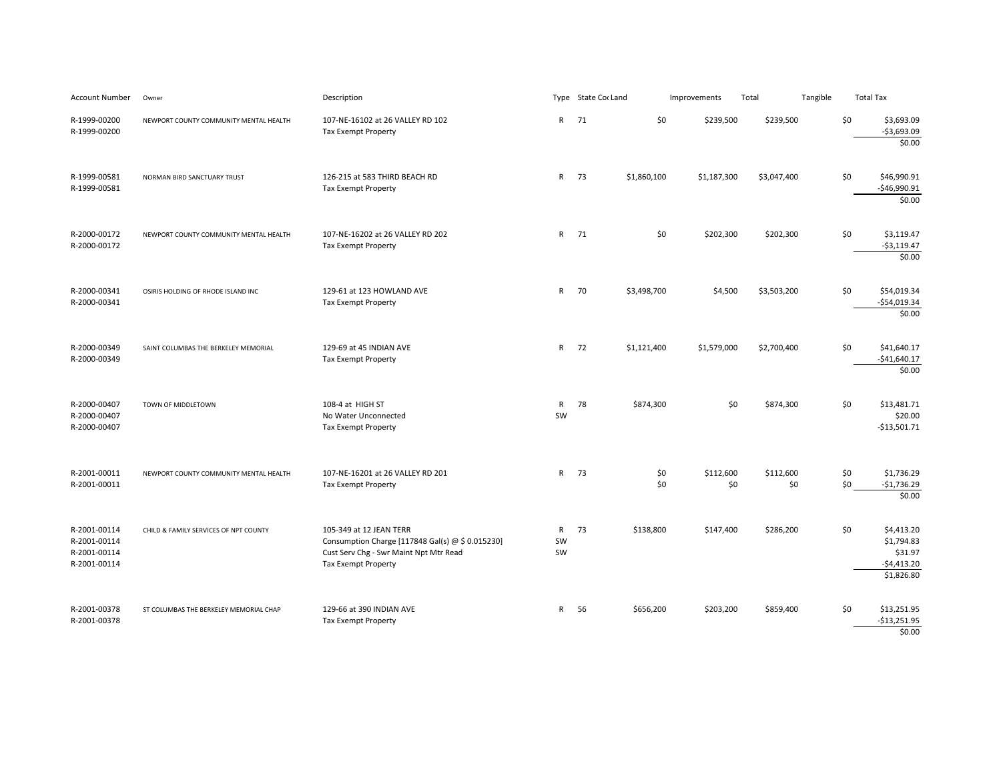| <b>Account Number</b>                                        | Owner                                  | Description                                                                                                                                         |                          | Type State Cor Land | Improvements | Total            |                  | Tangible | <b>Total Tax</b> |                                                                   |
|--------------------------------------------------------------|----------------------------------------|-----------------------------------------------------------------------------------------------------------------------------------------------------|--------------------------|---------------------|--------------|------------------|------------------|----------|------------------|-------------------------------------------------------------------|
| R-1999-00200<br>R-1999-00200                                 | NEWPORT COUNTY COMMUNITY MENTAL HEALTH | 107-NE-16102 at 26 VALLEY RD 102<br><b>Tax Exempt Property</b>                                                                                      | $\mathsf{R}$             | 71                  | \$0          | \$239,500        | \$239,500        |          | \$0              | \$3,693.09<br>$-53,693.09$<br>\$0.00                              |
| R-1999-00581<br>R-1999-00581                                 | NORMAN BIRD SANCTUARY TRUST            | 126-215 at 583 THIRD BEACH RD<br>Tax Exempt Property                                                                                                | R 73                     | \$1,860,100         |              | \$1,187,300      | \$3,047,400      |          | \$0              | \$46,990.91<br>$-$46,990.91$<br>\$0.00                            |
| R-2000-00172<br>R-2000-00172                                 | NEWPORT COUNTY COMMUNITY MENTAL HEALTH | 107-NE-16202 at 26 VALLEY RD 202<br><b>Tax Exempt Property</b>                                                                                      | R 71                     |                     | \$0          | \$202,300        | \$202,300        |          | \$0              | \$3,119.47<br>$-$3,119.47$<br>\$0.00                              |
| R-2000-00341<br>R-2000-00341                                 | OSIRIS HOLDING OF RHODE ISLAND INC     | 129-61 at 123 HOWLAND AVE<br>Tax Exempt Property                                                                                                    | R 70                     | \$3,498,700         |              | \$4,500          | \$3,503,200      |          | \$0              | \$54,019.34<br>$-$54,019.34$<br>\$0.00                            |
| R-2000-00349<br>R-2000-00349                                 | SAINT COLUMBAS THE BERKELEY MEMORIAL   | 129-69 at 45 INDIAN AVE<br>Tax Exempt Property                                                                                                      | R 72                     | \$1,121,400         |              | \$1,579,000      | \$2,700,400      |          | \$0              | \$41,640.17<br>$-$41,640.17$<br>\$0.00                            |
| R-2000-00407<br>R-2000-00407<br>R-2000-00407                 | TOWN OF MIDDLETOWN                     | 108-4 at HIGH ST<br>No Water Unconnected<br>Tax Exempt Property                                                                                     | $\mathsf{R}$<br>SW       | 78<br>\$874,300     |              | \$0              | \$874,300        |          | \$0              | \$13,481.71<br>\$20.00<br>$-$13,501.71$                           |
| R-2001-00011<br>R-2001-00011                                 | NEWPORT COUNTY COMMUNITY MENTAL HEALTH | 107-NE-16201 at 26 VALLEY RD 201<br><b>Tax Exempt Property</b>                                                                                      | $\mathsf{R}$             | 73                  | \$0<br>\$0   | \$112,600<br>\$0 | \$112,600<br>\$0 |          | \$0<br>\$0       | \$1,736.29<br>$-$1,736.29$<br>\$0.00                              |
| R-2001-00114<br>R-2001-00114<br>R-2001-00114<br>R-2001-00114 | CHILD & FAMILY SERVICES OF NPT COUNTY  | 105-349 at 12 JEAN TERR<br>Consumption Charge [117848 Gal(s) @ \$ 0.015230]<br>Cust Serv Chg - Swr Maint Npt Mtr Read<br><b>Tax Exempt Property</b> | $\mathsf{R}$<br>SW<br>SW | 73<br>\$138,800     |              | \$147,400        | \$286,200        |          | \$0              | \$4,413.20<br>\$1,794.83<br>\$31.97<br>$-$4,413.20$<br>\$1,826.80 |
| R-2001-00378<br>R-2001-00378                                 | ST COLUMBAS THE BERKELEY MEMORIAL CHAP | 129-66 at 390 INDIAN AVE<br>Tax Exempt Property                                                                                                     | R                        | 56<br>\$656,200     |              | \$203,200        | \$859,400        |          | \$0              | \$13,251.95<br>$-$13,251.95$<br>\$0.00                            |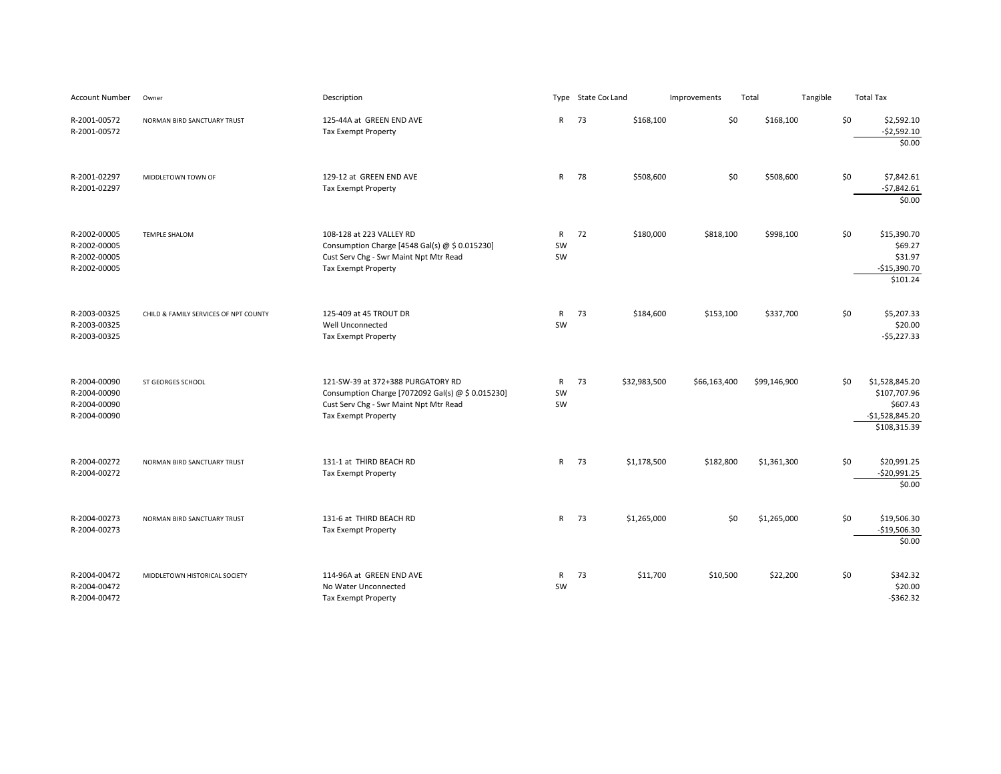| <b>Account Number</b>                                        | Owner                                 | Description                                                                                                                                                    |                          | Type State Cor Land |              | Improvements | Total        | Tangible | <b>Total Tax</b>                                                                      |
|--------------------------------------------------------------|---------------------------------------|----------------------------------------------------------------------------------------------------------------------------------------------------------------|--------------------------|---------------------|--------------|--------------|--------------|----------|---------------------------------------------------------------------------------------|
| R-2001-00572<br>R-2001-00572                                 | NORMAN BIRD SANCTUARY TRUST           | 125-44A at GREEN END AVE<br>Tax Exempt Property                                                                                                                | $\mathsf{R}$             | 73                  | \$168,100    | \$0          | \$168,100    |          | \$0<br>\$2,592.10<br>$-52,592.10$<br>\$0.00                                           |
| R-2001-02297<br>R-2001-02297                                 | MIDDLETOWN TOWN OF                    | 129-12 at GREEN END AVE<br><b>Tax Exempt Property</b>                                                                                                          | $\mathsf{R}$             | 78                  | \$508,600    | \$0          | \$508,600    |          | \$0<br>\$7,842.61<br>$-57,842.61$<br>\$0.00                                           |
| R-2002-00005<br>R-2002-00005<br>R-2002-00005<br>R-2002-00005 | <b>TEMPLE SHALOM</b>                  | 108-128 at 223 VALLEY RD<br>Consumption Charge [4548 Gal(s) @ \$ 0.015230]<br>Cust Serv Chg - Swr Maint Npt Mtr Read<br><b>Tax Exempt Property</b>             | $\mathsf{R}$<br>SW<br>SW | 72                  | \$180,000    | \$818,100    | \$998,100    |          | \$0<br>\$15,390.70<br>\$69.27<br>\$31.97<br>$-$15,390.70$<br>\$101.24                 |
| R-2003-00325<br>R-2003-00325<br>R-2003-00325                 | CHILD & FAMILY SERVICES OF NPT COUNTY | 125-409 at 45 TROUT DR<br>Well Unconnected<br><b>Tax Exempt Property</b>                                                                                       | $\mathsf{R}$<br>SW       | 73                  | \$184,600    | \$153,100    | \$337,700    |          | \$0<br>\$5,207.33<br>\$20.00<br>$-$5,227.33$                                          |
| R-2004-00090<br>R-2004-00090<br>R-2004-00090<br>R-2004-00090 | ST GEORGES SCHOOL                     | 121-SW-39 at 372+388 PURGATORY RD<br>Consumption Charge [7072092 Gal(s) @ \$ 0.015230]<br>Cust Serv Chg - Swr Maint Npt Mtr Read<br><b>Tax Exempt Property</b> | $\mathsf{R}$<br>SW<br>SW | 73                  | \$32,983,500 | \$66,163,400 | \$99,146,900 |          | \$0<br>\$1,528,845.20<br>\$107,707.96<br>\$607.43<br>$-$1,528,845.20$<br>\$108,315.39 |
| R-2004-00272<br>R-2004-00272                                 | NORMAN BIRD SANCTUARY TRUST           | 131-1 at THIRD BEACH RD<br>Tax Exempt Property                                                                                                                 | $\mathsf{R}$             | 73                  | \$1,178,500  | \$182,800    | \$1,361,300  |          | \$0<br>\$20,991.25<br>$-$20,991.25$<br>\$0.00                                         |
| R-2004-00273<br>R-2004-00273                                 | NORMAN BIRD SANCTUARY TRUST           | 131-6 at THIRD BEACH RD<br><b>Tax Exempt Property</b>                                                                                                          | $\mathsf{R}$             | 73                  | \$1,265,000  | \$0          | \$1,265,000  |          | \$0<br>\$19,506.30<br>$-$19,506.30$<br>\$0.00                                         |
| R-2004-00472<br>R-2004-00472<br>R-2004-00472                 | MIDDLETOWN HISTORICAL SOCIETY         | 114-96A at GREEN END AVE<br>No Water Unconnected<br><b>Tax Exempt Property</b>                                                                                 | $\mathsf{R}$<br>SW       | 73                  | \$11,700     | \$10,500     | \$22,200     |          | \$0<br>\$342.32<br>\$20.00<br>$-5362.32$                                              |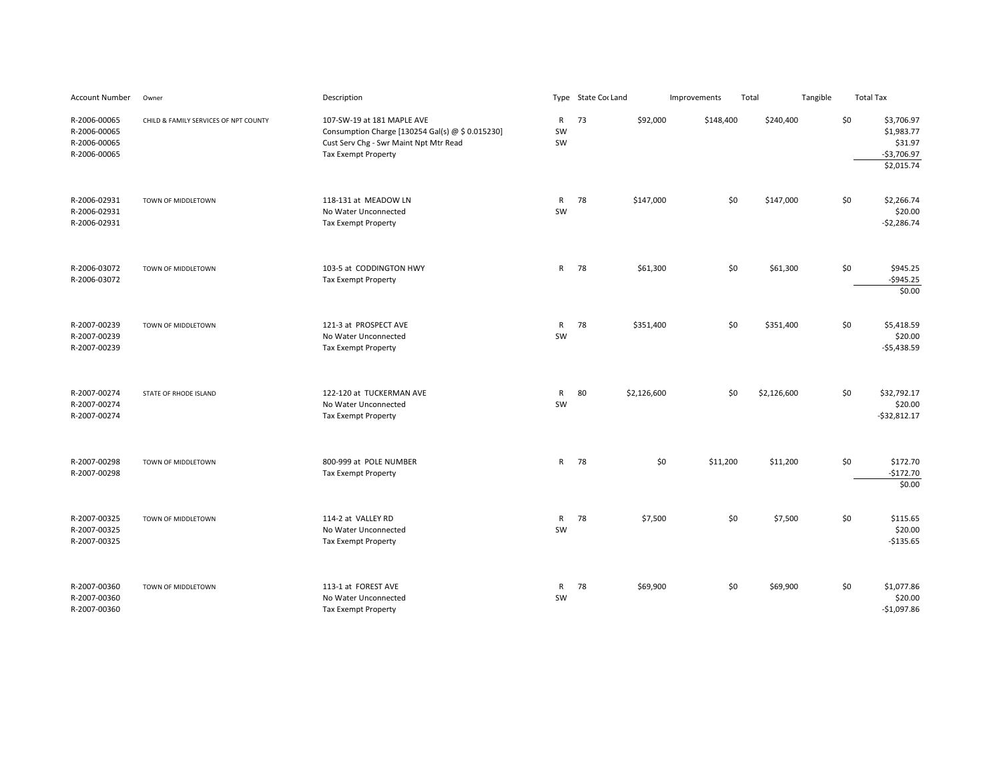| Account Number                                               | Owner                                 | Description                                                                                                                                            |                          | Type State Cor Land |             | Improvements | Total       | Tangible | <b>Total Tax</b> |                                                                   |
|--------------------------------------------------------------|---------------------------------------|--------------------------------------------------------------------------------------------------------------------------------------------------------|--------------------------|---------------------|-------------|--------------|-------------|----------|------------------|-------------------------------------------------------------------|
| R-2006-00065<br>R-2006-00065<br>R-2006-00065<br>R-2006-00065 | CHILD & FAMILY SERVICES OF NPT COUNTY | 107-SW-19 at 181 MAPLE AVE<br>Consumption Charge [130254 Gal(s) $\omega$ \$ 0.015230]<br>Cust Serv Chg - Swr Maint Npt Mtr Read<br>Tax Exempt Property | $\mathsf{R}$<br>SW<br>SW | 73                  | \$92,000    | \$148,400    | \$240,400   |          | \$0              | \$3,706.97<br>\$1,983.77<br>\$31.97<br>$-$3,706.97$<br>\$2,015.74 |
| R-2006-02931<br>R-2006-02931<br>R-2006-02931                 | TOWN OF MIDDLETOWN                    | 118-131 at MEADOW LN<br>No Water Unconnected<br><b>Tax Exempt Property</b>                                                                             | $\mathsf{R}$<br>SW       | 78                  | \$147,000   | \$0          | \$147,000   |          | \$0              | \$2,266.74<br>\$20.00<br>$-52,286.74$                             |
| R-2006-03072<br>R-2006-03072                                 | TOWN OF MIDDLETOWN                    | 103-5 at CODDINGTON HWY<br>Tax Exempt Property                                                                                                         | $\mathsf{R}$             | 78                  | \$61,300    | \$0          | \$61,300    |          | \$0              | \$945.25<br>$-$945.25$<br>\$0.00                                  |
| R-2007-00239<br>R-2007-00239<br>R-2007-00239                 | TOWN OF MIDDLETOWN                    | 121-3 at PROSPECT AVE<br>No Water Unconnected<br><b>Tax Exempt Property</b>                                                                            | $\mathsf{R}$<br>SW       | 78                  | \$351,400   | \$0          | \$351,400   |          | \$0              | \$5,418.59<br>\$20.00<br>$-55,438.59$                             |
| R-2007-00274<br>R-2007-00274<br>R-2007-00274                 | STATE OF RHODE ISLAND                 | 122-120 at TUCKERMAN AVE<br>No Water Unconnected<br><b>Tax Exempt Property</b>                                                                         | $\mathsf{R}$<br>SW       | 80                  | \$2,126,600 | \$0          | \$2,126,600 |          | \$0              | \$32,792.17<br>\$20.00<br>$-532,812.17$                           |
| R-2007-00298<br>R-2007-00298                                 | TOWN OF MIDDLETOWN                    | 800-999 at POLE NUMBER<br><b>Tax Exempt Property</b>                                                                                                   | $\mathsf{R}$             | 78                  | \$0         | \$11,200     | \$11,200    |          | \$0              | \$172.70<br>$-$172.70$<br>\$0.00                                  |
| R-2007-00325<br>R-2007-00325<br>R-2007-00325                 | TOWN OF MIDDLETOWN                    | 114-2 at VALLEY RD<br>No Water Unconnected<br><b>Tax Exempt Property</b>                                                                               | $\mathsf{R}$<br>SW       | 78                  | \$7,500     | \$0          | \$7,500     |          | \$0              | \$115.65<br>\$20.00<br>$-$135.65$                                 |
| R-2007-00360<br>R-2007-00360<br>R-2007-00360                 | TOWN OF MIDDLETOWN                    | 113-1 at FOREST AVE<br>No Water Unconnected<br><b>Tax Exempt Property</b>                                                                              | ${\sf R}$<br>SW          | 78                  | \$69,900    | \$0          | \$69,900    |          | \$0              | \$1,077.86<br>\$20.00<br>$-$1,097.86$                             |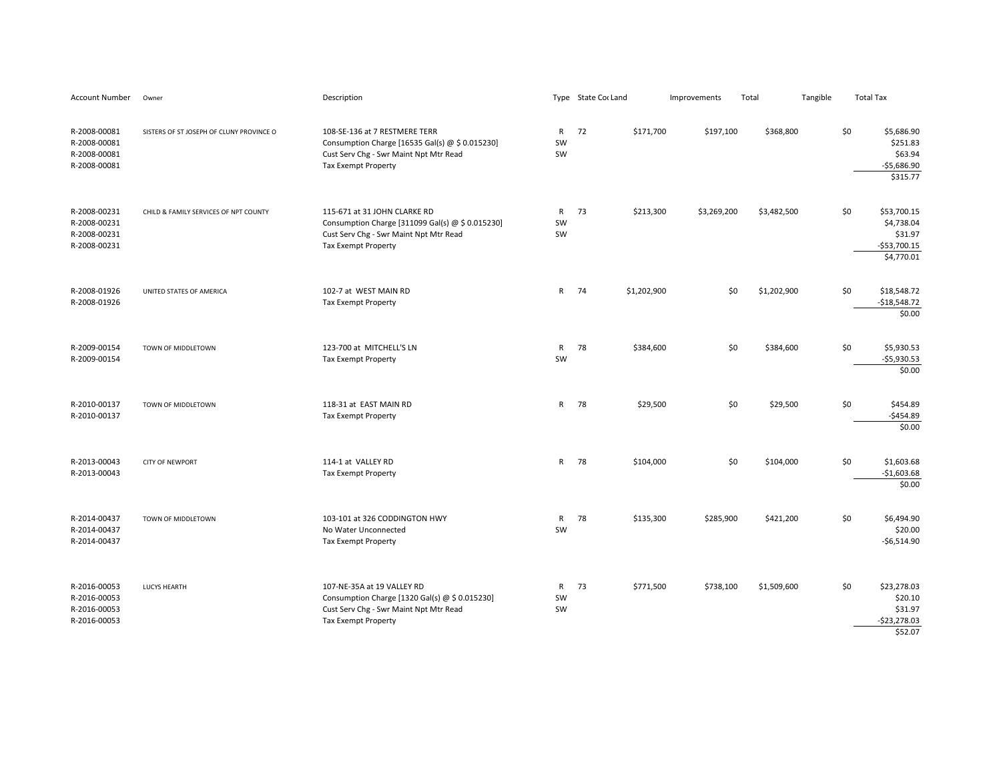| Account Number                                               | Owner                                    | Description                                                                                                                                              |                          | Type State Cor Land | Improvements | Total       | Tangible | <b>Total Tax</b>                                                    |
|--------------------------------------------------------------|------------------------------------------|----------------------------------------------------------------------------------------------------------------------------------------------------------|--------------------------|---------------------|--------------|-------------|----------|---------------------------------------------------------------------|
| R-2008-00081<br>R-2008-00081<br>R-2008-00081<br>R-2008-00081 | SISTERS OF ST JOSEPH OF CLUNY PROVINCE O | 108-SE-136 at 7 RESTMERE TERR<br>Consumption Charge [16535 Gal(s) @ \$ 0.015230]<br>Cust Serv Chg - Swr Maint Npt Mtr Read<br><b>Tax Exempt Property</b> | $\mathsf{R}$<br>SW<br>SW | 72<br>\$171,700     | \$197,100    | \$368,800   | \$0      | \$5,686.90<br>\$251.83<br>\$63.94<br>$-$5,686.90$<br>\$315.77       |
| R-2008-00231<br>R-2008-00231<br>R-2008-00231<br>R-2008-00231 | CHILD & FAMILY SERVICES OF NPT COUNTY    | 115-671 at 31 JOHN CLARKE RD<br>Consumption Charge [311099 Gal(s) @ \$ 0.015230]<br>Cust Serv Chg - Swr Maint Npt Mtr Read<br>Tax Exempt Property        | $\mathsf{R}$<br>SW<br>SW | 73<br>\$213,300     | \$3,269,200  | \$3,482,500 | \$0      | \$53,700.15<br>\$4,738.04<br>\$31.97<br>$-$53,700.15$<br>\$4,770.01 |
| R-2008-01926<br>R-2008-01926                                 | UNITED STATES OF AMERICA                 | 102-7 at WEST MAIN RD<br><b>Tax Exempt Property</b>                                                                                                      | R                        | 74<br>\$1,202,900   | \$0          | \$1,202,900 | \$0      | \$18,548.72<br>$-$18,548.72$<br>\$0.00                              |
| R-2009-00154<br>R-2009-00154                                 | TOWN OF MIDDLETOWN                       | 123-700 at MITCHELL'S LN<br>Tax Exempt Property                                                                                                          | ${\sf R}$<br>SW          | 78<br>\$384,600     | \$0          | \$384,600   | \$0      | \$5,930.53<br>$-$5,930.53$<br>\$0.00                                |
| R-2010-00137<br>R-2010-00137                                 | TOWN OF MIDDLETOWN                       | 118-31 at EAST MAIN RD<br><b>Tax Exempt Property</b>                                                                                                     | R                        | 78<br>\$29,500      | \$0          | \$29,500    | \$0      | \$454.89<br>$-$454.89$<br>\$0.00                                    |
| R-2013-00043<br>R-2013-00043                                 | CITY OF NEWPORT                          | 114-1 at VALLEY RD<br>Tax Exempt Property                                                                                                                | $\mathsf{R}$             | 78<br>\$104,000     | \$0          | \$104,000   | \$0      | \$1,603.68<br>$-$1,603.68$<br>\$0.00                                |
| R-2014-00437<br>R-2014-00437<br>R-2014-00437                 | TOWN OF MIDDLETOWN                       | 103-101 at 326 CODDINGTON HWY<br>No Water Unconnected<br>Tax Exempt Property                                                                             | R<br>SW                  | 78<br>\$135,300     | \$285,900    | \$421,200   | \$0      | \$6,494.90<br>\$20.00<br>$-56,514.90$                               |
| R-2016-00053<br>R-2016-00053<br>R-2016-00053<br>R-2016-00053 | <b>LUCYS HEARTH</b>                      | 107-NE-35A at 19 VALLEY RD<br>Consumption Charge [1320 Gal(s) @ \$ 0.015230]<br>Cust Serv Chg - Swr Maint Npt Mtr Read<br>Tax Exempt Property            | $\mathsf{R}$<br>SW<br>SW | 73<br>\$771,500     | \$738,100    | \$1,509,600 | \$0      | \$23,278.03<br>\$20.10<br>\$31.97<br>$-$23,278.03$<br>\$52.07       |